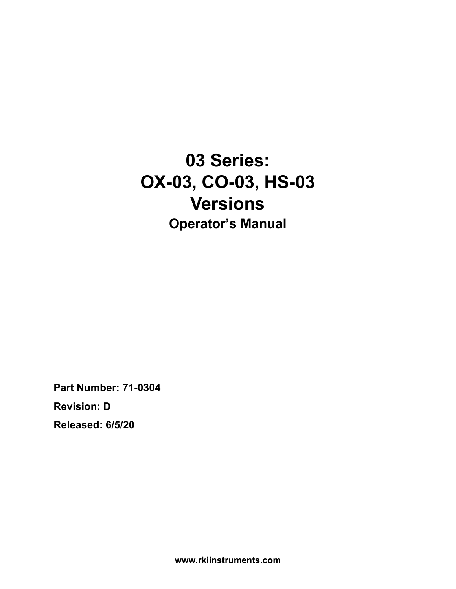**03 Series: OX-03, CO-03, HS-03 Versions Operator's Manual**

**Part Number: 71-0304 Revision: D Released: 6/5/20**

**www.rkiinstruments.com**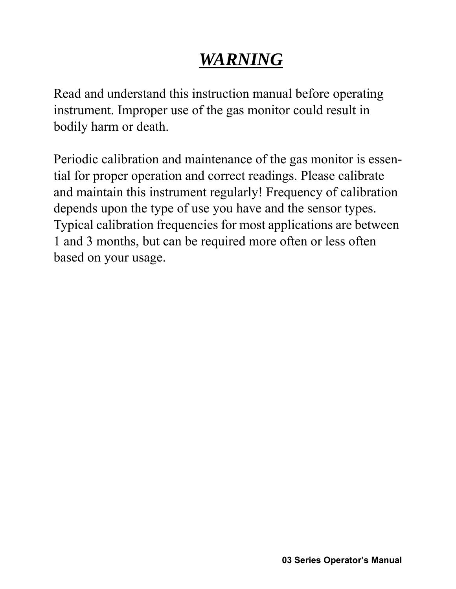# *WARNING*

Read and understand this instruction manual before operating instrument. Improper use of the gas monitor could result in bodily harm or death.

Periodic calibration and maintenance of the gas monitor is essential for proper operation and correct readings. Please calibrate and maintain this instrument regularly! Frequency of calibration depends upon the type of use you have and the sensor types. Typical calibration frequencies for most applications are between 1 and 3 months, but can be required more often or less often based on your usage.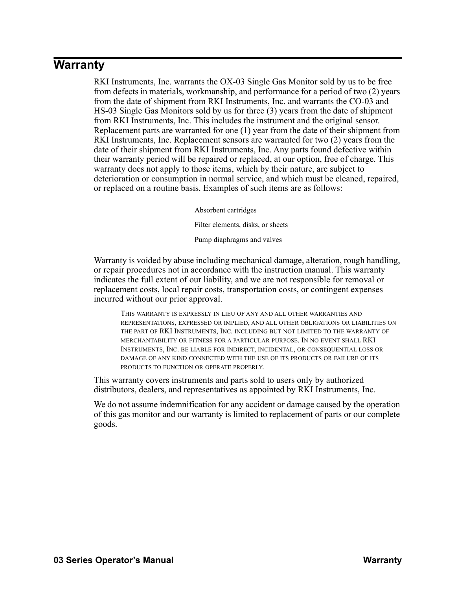# **Warranty**

RKI Instruments, Inc. warrants the OX-03 Single Gas Monitor sold by us to be free from defects in materials, workmanship, and performance for a period of two (2) years from the date of shipment from RKI Instruments, Inc. and warrants the CO-03 and HS-03 Single Gas Monitors sold by us for three (3) years from the date of shipment from RKI Instruments, Inc. This includes the instrument and the original sensor. Replacement parts are warranted for one (1) year from the date of their shipment from RKI Instruments, Inc. Replacement sensors are warranted for two (2) years from the date of their shipment from RKI Instruments, Inc. Any parts found defective within their warranty period will be repaired or replaced, at our option, free of charge. This warranty does not apply to those items, which by their nature, are subject to deterioration or consumption in normal service, and which must be cleaned, repaired, or replaced on a routine basis. Examples of such items are as follows:

Absorbent cartridges

Filter elements, disks, or sheets

Pump diaphragms and valves

Warranty is voided by abuse including mechanical damage, alteration, rough handling, or repair procedures not in accordance with the instruction manual. This warranty indicates the full extent of our liability, and we are not responsible for removal or replacement costs, local repair costs, transportation costs, or contingent expenses incurred without our prior approval.

THIS WARRANTY IS EXPRESSLY IN LIEU OF ANY AND ALL OTHER WARRANTIES AND REPRESENTATIONS, EXPRESSED OR IMPLIED, AND ALL OTHER OBLIGATIONS OR LIABILITIES ON THE PART OF RKI INSTRUMENTS, INC. INCLUDING BUT NOT LIMITED TO THE WARRANTY OF MERCHANTABILITY OR FITNESS FOR A PARTICULAR PURPOSE. IN NO EVENT SHALL RKI INSTRUMENTS, INC. BE LIABLE FOR INDIRECT, INCIDENTAL, OR CONSEQUENTIAL LOSS OR DAMAGE OF ANY KIND CONNECTED WITH THE USE OF ITS PRODUCTS OR FAILURE OF ITS PRODUCTS TO FUNCTION OR OPERATE PROPERLY.

This warranty covers instruments and parts sold to users only by authorized distributors, dealers, and representatives as appointed by RKI Instruments, Inc.

We do not assume indemnification for any accident or damage caused by the operation of this gas monitor and our warranty is limited to replacement of parts or our complete goods.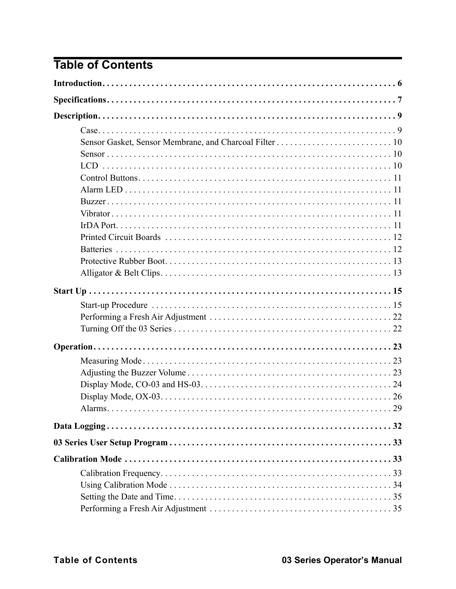# **Table of Contents**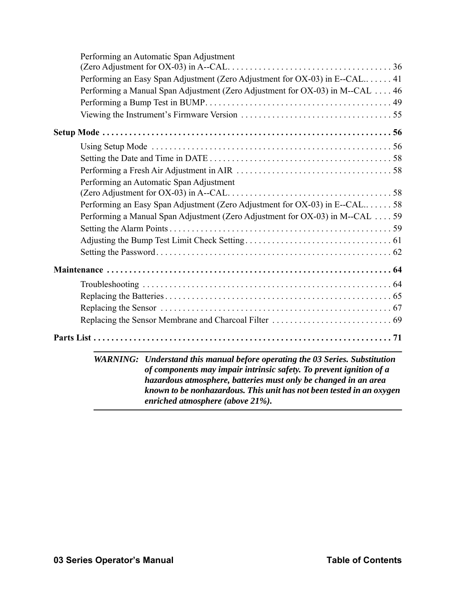| Performing an Automatic Span Adjustment                                       |
|-------------------------------------------------------------------------------|
|                                                                               |
| Performing an Easy Span Adjustment (Zero Adjustment for OX-03) in E--CAL 41   |
| Performing a Manual Span Adjustment (Zero Adjustment for OX-03) in M--CAL  46 |
|                                                                               |
|                                                                               |
|                                                                               |
|                                                                               |
|                                                                               |
|                                                                               |
| Performing an Automatic Span Adjustment                                       |
|                                                                               |
| Performing an Easy Span Adjustment (Zero Adjustment for OX-03) in E--CAL58    |
| Performing a Manual Span Adjustment (Zero Adjustment for OX-03) in M--CAL 59  |
|                                                                               |
|                                                                               |
|                                                                               |
|                                                                               |
|                                                                               |
|                                                                               |
|                                                                               |
|                                                                               |
|                                                                               |
| WARNING: Understand this manual before operating the 03 Series. Substitution  |
| of components may impair intrinsic safety. To prevent ignition of a           |
| hazardous atmosphere, batteries must only be changed in an area               |

*known to be nonhazardous. This unit has not been tested in an oxygen enriched atmosphere (above 21%).*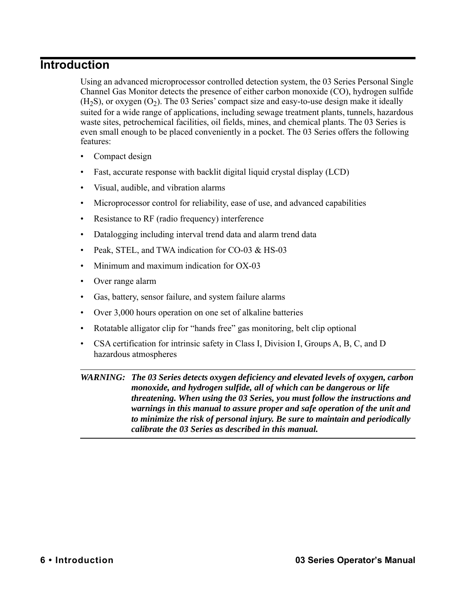# <span id="page-5-0"></span>**Introduction**

Using an advanced microprocessor controlled detection system, the 03 Series Personal Single Channel Gas Monitor detects the presence of either carbon monoxide (CO), hydrogen sulfide  $(H<sub>2</sub>S)$ , or oxygen  $(O<sub>2</sub>)$ . The 03 Series' compact size and easy-to-use design make it ideally suited for a wide range of applications, including sewage treatment plants, tunnels, hazardous waste sites, petrochemical facilities, oil fields, mines, and chemical plants. The 03 Series is even small enough to be placed conveniently in a pocket. The 03 Series offers the following features:

- Compact design
- Fast, accurate response with backlit digital liquid crystal display (LCD)
- Visual, audible, and vibration alarms
- Microprocessor control for reliability, ease of use, and advanced capabilities
- Resistance to RF (radio frequency) interference
- Datalogging including interval trend data and alarm trend data
- Peak, STEL, and TWA indication for CO-03 & HS-03
- Minimum and maximum indication for OX-03
- Over range alarm
- Gas, battery, sensor failure, and system failure alarms
- Over 3,000 hours operation on one set of alkaline batteries
- Rotatable alligator clip for "hands free" gas monitoring, belt clip optional
- CSA certification for intrinsic safety in Class I, Division I, Groups A, B, C, and D hazardous atmospheres

*WARNING: The 03 Series detects oxygen deficiency and elevated levels of oxygen, carbon monoxide, and hydrogen sulfide, all of which can be dangerous or life threatening. When using the 03 Series, you must follow the instructions and warnings in this manual to assure proper and safe operation of the unit and to minimize the risk of personal injury. Be sure to maintain and periodically calibrate the 03 Series as described in this manual.*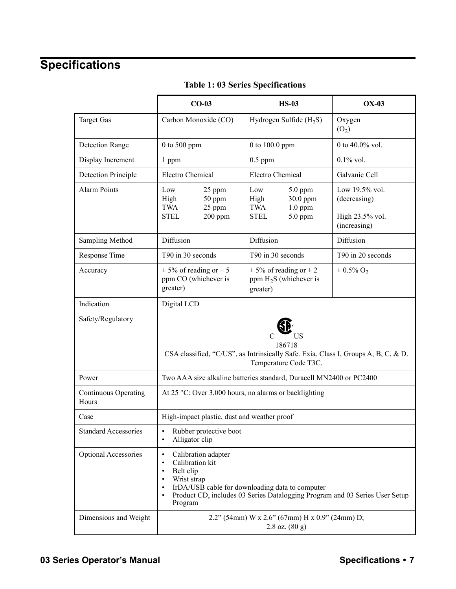# <span id="page-6-0"></span>**Specifications**

|                                      | $CO-03$                                                                                                                                                                                                                                | <b>HS-03</b>                                                                       | $OX-03$                                                           |
|--------------------------------------|----------------------------------------------------------------------------------------------------------------------------------------------------------------------------------------------------------------------------------------|------------------------------------------------------------------------------------|-------------------------------------------------------------------|
| <b>Target Gas</b>                    | Carbon Monoxide (CO)                                                                                                                                                                                                                   | Hydrogen Sulfide $(H_2S)$                                                          | Oxygen<br>(O <sub>2</sub> )                                       |
| <b>Detection Range</b>               | $0$ to 500 ppm                                                                                                                                                                                                                         | 0 to 100.0 ppm                                                                     | 0 to $40.0\%$ vol.                                                |
| Display Increment                    | 1 ppm                                                                                                                                                                                                                                  | $0.5$ ppm                                                                          | $0.1\%$ vol.                                                      |
| <b>Detection Principle</b>           | <b>Electro Chemical</b>                                                                                                                                                                                                                | <b>Electro Chemical</b>                                                            | Galvanic Cell                                                     |
| <b>Alarm Points</b>                  | Low<br>25 ppm<br>High<br>50 ppm<br><b>TWA</b><br>25 ppm<br><b>STEL</b><br>$200$ ppm                                                                                                                                                    | Low<br>$5.0$ ppm<br>High<br>30.0 ppm<br>TWA<br>$1.0$ ppm<br><b>STEL</b><br>5.0 ppm | Low 19.5% vol.<br>(decreasing)<br>High 23.5% vol.<br>(increasing) |
| Sampling Method                      | Diffusion                                                                                                                                                                                                                              | Diffusion                                                                          | Diffusion                                                         |
| Response Time                        | T90 in 30 seconds                                                                                                                                                                                                                      | T90 in 30 seconds                                                                  | T90 in 20 seconds                                                 |
| Accuracy                             | $\pm$ 5% of reading or $\pm$ 5<br>ppm CO (whichever is<br>greater)                                                                                                                                                                     | $\pm$ 5% of reading or $\pm$ 2<br>ppm $H_2S$ (whichever is<br>greater)             | $\pm 0.5\%$ O <sub>2</sub>                                        |
| Indication                           | Digital LCD                                                                                                                                                                                                                            |                                                                                    |                                                                   |
| Safety/Regulatory                    | US<br>186718<br>CSA classified, "C/US", as Intrinsically Safe. Exia. Class I, Groups A, B, C, & D.<br>Temperature Code T3C.                                                                                                            |                                                                                    |                                                                   |
| Power                                | Two AAA size alkaline batteries standard, Duracell MN2400 or PC2400                                                                                                                                                                    |                                                                                    |                                                                   |
| <b>Continuous Operating</b><br>Hours | At $25^{\circ}$ C: Over 3,000 hours, no alarms or backlighting                                                                                                                                                                         |                                                                                    |                                                                   |
| Case                                 | High-impact plastic, dust and weather proof                                                                                                                                                                                            |                                                                                    |                                                                   |
| <b>Standard Accessories</b>          | Rubber protective boot<br>Alligator clip                                                                                                                                                                                               |                                                                                    |                                                                   |
| Optional Accessories                 | Calibration adapter<br>$\bullet$<br>Calibration kit<br>٠<br>Belt clip<br>٠<br>Wrist strap<br>IrDA/USB cable for downloading data to computer<br>Product CD, includes 03 Series Datalogging Program and 03 Series User Setup<br>Program |                                                                                    |                                                                   |
| Dimensions and Weight                | 2.2" (54mm) W x 2.6" (67mm) H x 0.9" (24mm) D;<br>$2.8$ oz. $(80 g)$                                                                                                                                                                   |                                                                                    |                                                                   |

#### **Table 1: 03 Series Specifications**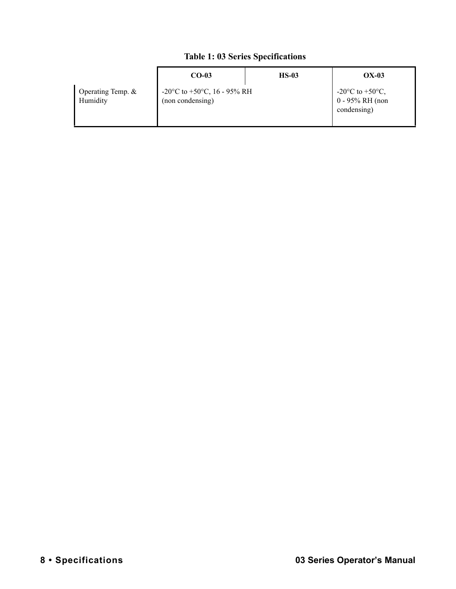#### **Table 1: 03 Series Specifications**

|                               | $CO-03$                                                                        | $HS-03$ | $OX-03$                                                                 |
|-------------------------------|--------------------------------------------------------------------------------|---------|-------------------------------------------------------------------------|
| Operating Temp. &<br>Humidity | -20 $\rm{^{\circ}C}$ to +50 $\rm{^{\circ}C}$ , 16 - 95% RH<br>(non condensing) |         | -20 $^{\circ}$ C to +50 $^{\circ}$ C,<br>0 - 95% RH (non<br>condensing) |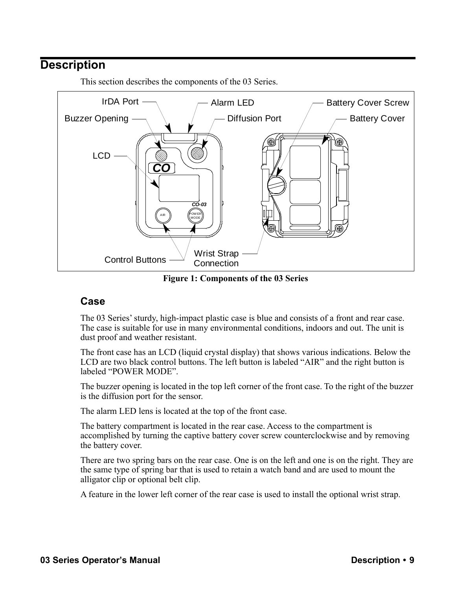# <span id="page-8-0"></span>**Description**



This section describes the components of the 03 Series.

**Figure 1: Components of the 03 Series**

#### <span id="page-8-1"></span>**Case**

The 03 Series' sturdy, high-impact plastic case is blue and consists of a front and rear case. The case is suitable for use in many environmental conditions, indoors and out. The unit is dust proof and weather resistant.

The front case has an LCD (liquid crystal display) that shows various indications. Below the LCD are two black control buttons. The left button is labeled "AIR" and the right button is labeled "POWER MODE".

The buzzer opening is located in the top left corner of the front case. To the right of the buzzer is the diffusion port for the sensor.

The alarm LED lens is located at the top of the front case.

The battery compartment is located in the rear case. Access to the compartment is accomplished by turning the captive battery cover screw counterclockwise and by removing the battery cover.

There are two spring bars on the rear case. One is on the left and one is on the right. They are the same type of spring bar that is used to retain a watch band and are used to mount the alligator clip or optional belt clip.

A feature in the lower left corner of the rear case is used to install the optional wrist strap.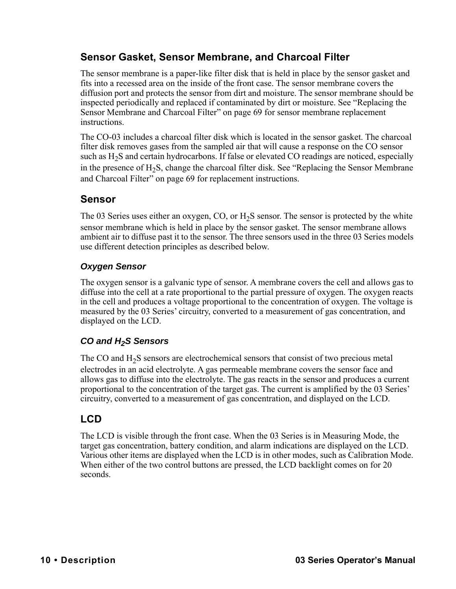## <span id="page-9-0"></span>**Sensor Gasket, Sensor Membrane, and Charcoal Filter**

The sensor membrane is a paper-like filter disk that is held in place by the sensor gasket and fits into a recessed area on the inside of the front case. The sensor membrane covers the diffusion port and protects the sensor from dirt and moisture. The sensor membrane should be inspected periodically and replaced if contaminated by dirt or moisture. See ["Replacing the](#page-68-0)  [Sensor Membrane and Charcoal Filter" on page 69](#page-68-0) for sensor membrane replacement instructions.

The CO-03 includes a charcoal filter disk which is located in the sensor gasket. The charcoal filter disk removes gases from the sampled air that will cause a response on the CO sensor such as  $H_2S$  and certain hydrocarbons. If false or elevated CO readings are noticed, especially in the presence of  $H_2S$ , change the charcoal filter disk. See "Replacing the Sensor Membrane" [and Charcoal Filter" on page 69](#page-68-0) for replacement instructions.

## <span id="page-9-1"></span>**Sensor**

The 03 Series uses either an oxygen, CO, or  $H<sub>2</sub>S$  sensor. The sensor is protected by the white sensor membrane which is held in place by the sensor gasket. The sensor membrane allows ambient air to diffuse past it to the sensor. The three sensors used in the three 03 Series models use different detection principles as described below.

## *Oxygen Sensor*

The oxygen sensor is a galvanic type of sensor. A membrane covers the cell and allows gas to diffuse into the cell at a rate proportional to the partial pressure of oxygen. The oxygen reacts in the cell and produces a voltage proportional to the concentration of oxygen. The voltage is measured by the 03 Series' circuitry, converted to a measurement of gas concentration, and displayed on the LCD.

## *CO and H2S Sensors*

The CO and  $H_2S$  sensors are electrochemical sensors that consist of two precious metal electrodes in an acid electrolyte. A gas permeable membrane covers the sensor face and allows gas to diffuse into the electrolyte. The gas reacts in the sensor and produces a current proportional to the concentration of the target gas. The current is amplified by the 03 Series' circuitry, converted to a measurement of gas concentration, and displayed on the LCD.

## <span id="page-9-2"></span>**LCD**

The LCD is visible through the front case. When the 03 Series is in Measuring Mode, the target gas concentration, battery condition, and alarm indications are displayed on the LCD. Various other items are displayed when the LCD is in other modes, such as Calibration Mode. When either of the two control buttons are pressed, the LCD backlight comes on for 20 seconds.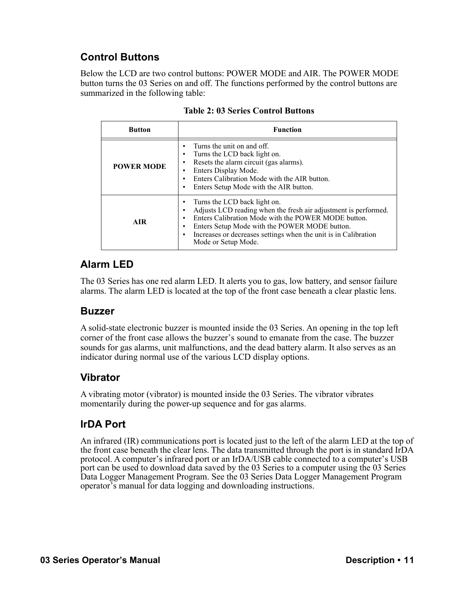# <span id="page-10-0"></span>**Control Buttons**

Below the LCD are two control buttons: POWER MODE and AIR. The POWER MODE button turns the 03 Series on and off. The functions performed by the control buttons are summarized in the following table:

| <b>Button</b>     | <b>Function</b>                                                                                                                                                                                                                                                                                   |  |  |
|-------------------|---------------------------------------------------------------------------------------------------------------------------------------------------------------------------------------------------------------------------------------------------------------------------------------------------|--|--|
| <b>POWER MODE</b> | Turns the unit on and off.<br>Turns the LCD back light on.<br>Resets the alarm circuit (gas alarms).<br>Enters Display Mode.<br>Enters Calibration Mode with the AIR button.<br>Enters Setup Mode with the AIR button.                                                                            |  |  |
| <b>AIR</b>        | Turns the LCD back light on.<br>Adjusts LCD reading when the fresh air adjustment is performed.<br>Enters Calibration Mode with the POWER MODE button.<br>Enters Setup Mode with the POWER MODE button.<br>Increases or decreases settings when the unit is in Calibration<br>Mode or Setup Mode. |  |  |

| <b>Table 2: 03 Series Control Buttons</b> |  |  |  |
|-------------------------------------------|--|--|--|
|-------------------------------------------|--|--|--|

## <span id="page-10-1"></span>**Alarm LED**

The 03 Series has one red alarm LED. It alerts you to gas, low battery, and sensor failure alarms. The alarm LED is located at the top of the front case beneath a clear plastic lens.

#### <span id="page-10-2"></span>**Buzzer**

A solid-state electronic buzzer is mounted inside the 03 Series. An opening in the top left corner of the front case allows the buzzer's sound to emanate from the case. The buzzer sounds for gas alarms, unit malfunctions, and the dead battery alarm. It also serves as an indicator during normal use of the various LCD display options.

## <span id="page-10-3"></span>**Vibrator**

A vibrating motor (vibrator) is mounted inside the 03 Series. The vibrator vibrates momentarily during the power-up sequence and for gas alarms.

## <span id="page-10-4"></span>**IrDA Port**

An infrared (IR) communications port is located just to the left of the alarm LED at the top of the front case beneath the clear lens. The data transmitted through the port is in standard IrDA protocol. A computer's infrared port or an IrDA/USB cable connected to a computer's USB port can be used to download data saved by the 03 Series to a computer using the 03 Series Data Logger Management Program. See the 03 Series Data Logger Management Program operator's manual for data logging and downloading instructions.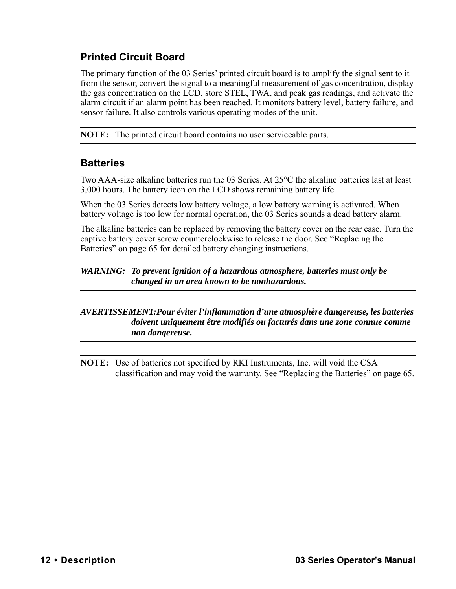# <span id="page-11-0"></span>**Printed Circuit Board**

The primary function of the 03 Series' printed circuit board is to amplify the signal sent to it from the sensor, convert the signal to a meaningful measurement of gas concentration, display the gas concentration on the LCD, store STEL, TWA, and peak gas readings, and activate the alarm circuit if an alarm point has been reached. It monitors battery level, battery failure, and sensor failure. It also controls various operating modes of the unit.

**NOTE:** The printed circuit board contains no user serviceable parts.

## <span id="page-11-1"></span>**Batteries**

Two AAA-size alkaline batteries run the 03 Series. At 25°C the alkaline batteries last at least 3,000 hours. The battery icon on the LCD shows remaining battery life.

When the 03 Series detects low battery voltage, a low battery warning is activated. When battery voltage is too low for normal operation, the 03 Series sounds a dead battery alarm.

The alkaline batteries can be replaced by removing the battery cover on the rear case. Turn the captive battery cover screw counterclockwise to release the door. See ["Replacing the](#page-64-0)  [Batteries" on page 65](#page-64-0) for detailed battery changing instructions.

*WARNING: To prevent ignition of a hazardous atmosphere, batteries must only be changed in an area known to be nonhazardous.*

#### *AVERTISSEMENT:Pour éviter l'inflammation d'une atmosphère dangereuse, les batteries doivent uniquement être modifiés ou facturés dans une zone connue comme non dangereuse.*

**NOTE:** Use of batteries not specified by RKI Instruments, Inc. will void the CSA classification and may void the warranty. See ["Replacing the Batteries" on page 65](#page-64-0).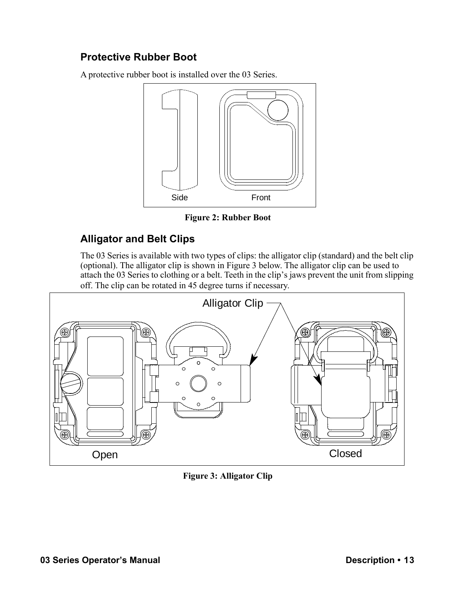# <span id="page-12-1"></span>**Protective Rubber Boot**

A protective rubber boot is installed over the 03 Series.



**Figure 2: Rubber Boot**

## <span id="page-12-0"></span>**Alligator and Belt Clips**

The 03 Series is available with two types of clips: the alligator clip (standard) and the belt clip (optional). The alligator clip is shown in [Figure 3](#page-12-2) below. The alligator clip can be used to attach the 03 Series to clothing or a belt. Teeth in the clip's jaws prevent the unit from slipping off. The clip can be rotated in 45 degree turns if necessary.



<span id="page-12-2"></span>**Figure 3: Alligator Clip**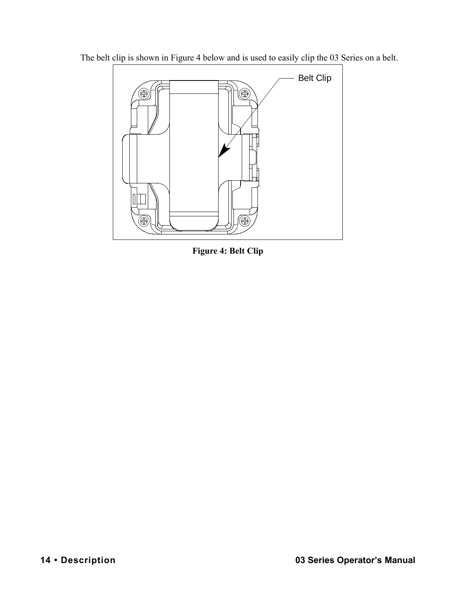

The belt clip is shown in [Figure 4](#page-13-0) below and is used to easily clip the 03 Series on a belt.

<span id="page-13-0"></span>**Figure 4: Belt Clip**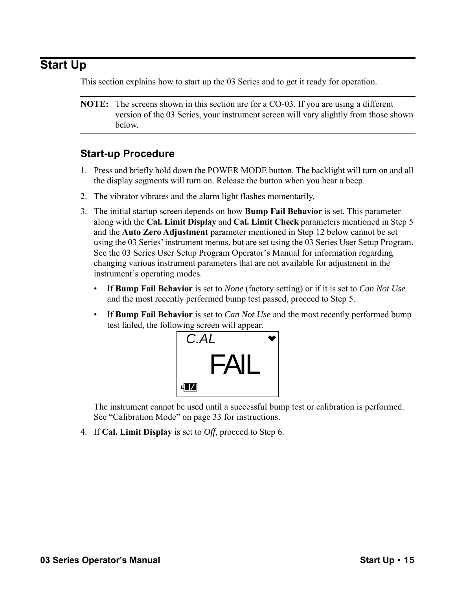# <span id="page-14-0"></span>**Start Up**

This section explains how to start up the 03 Series and to get it ready for operation.

**NOTE:** The screens shown in this section are for a CO-03. If you are using a different version of the 03 Series, your instrument screen will vary slightly from those shown below.

## <span id="page-14-1"></span>**Start-up Procedure**

- 1. Press and briefly hold down the POWER MODE button. The backlight will turn on and all the display segments will turn on. Release the button when you hear a beep.
- 2. The vibrator vibrates and the alarm light flashes momentarily.
- 3. The initial startup screen depends on how **Bump Fail Behavior** is set. This parameter along with the **Cal. Limit Display** and **Cal. Limit Check** parameters mentioned in [Step 5](#page-15-0) and the **Auto Zero Adjustment** parameter mentioned in Step 12 below cannot be set using the 03 Series' instrument menus, but are set using the 03 Series User Setup Program. See the 03 Series User Setup Program Operator's Manual for information regarding changing various instrument parameters that are not available for adjustment in the instrument's operating modes.
	- If **Bump Fail Behavior** is set to *None* (factory setting) or if it is set to *Can Not Use* and the most recently performed bump test passed, proceed to [Step 5](#page-15-0).
	- If **Bump Fail Behavior** is set to *Can Not Use* and the most recently performed bump test failed, the following screen will appear.



The instrument cannot be used until a successful bump test or calibration is performed. See ["Calibration Mode" on page 33](#page-32-0) for instructions.

4. If **Cal. Limit Display** is set to *Off*, proceed to [Step 6.](#page-17-0)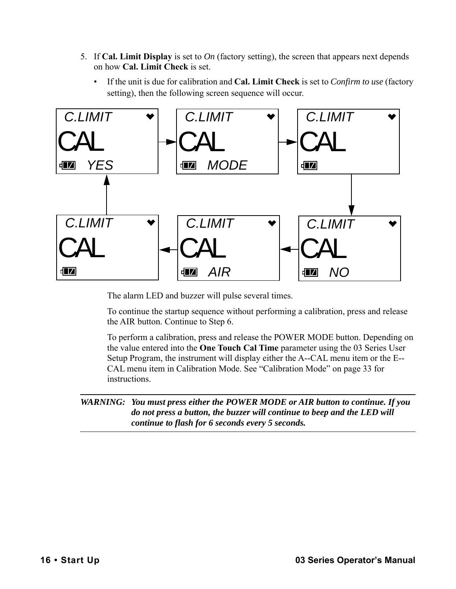- <span id="page-15-0"></span>5. If **Cal. Limit Display** is set to *On* (factory setting), the screen that appears next depends on how **Cal. Limit Check** is set.
	- If the unit is due for calibration and **Cal. Limit Check** is set to *Confirm to use* (factory setting), then the following screen sequence will occur.



The alarm LED and buzzer will pulse several times.

To continue the startup sequence without performing a calibration, press and release the AIR button. Continue to [Step 6.](#page-17-0)

To perform a calibration, press and release the POWER MODE button. Depending on the value entered into the **One Touch Cal Time** parameter using the 03 Series User Setup Program, the instrument will display either the A--CAL menu item or the E-- CAL menu item in Calibration Mode. See ["Calibration Mode" on page 33](#page-32-0) for instructions.

*WARNING: You must press either the POWER MODE or AIR button to continue. If you do not press a button, the buzzer will continue to beep and the LED will continue to flash for 6 seconds every 5 seconds.*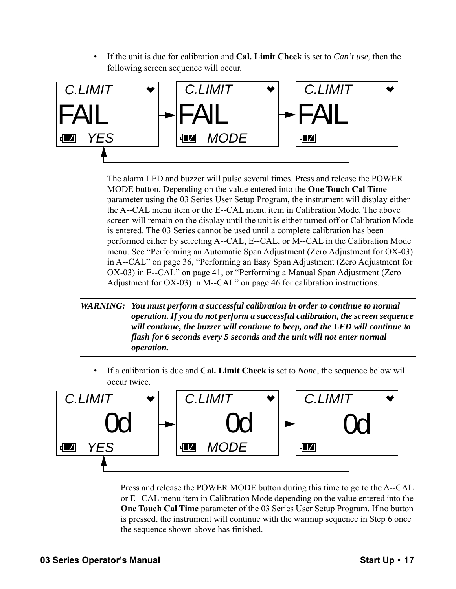• If the unit is due for calibration and **Cal. Limit Check** is set to *Can't use*, then the following screen sequence will occur.



The alarm LED and buzzer will pulse several times. Press and release the POWER MODE button. Depending on the value entered into the **One Touch Cal Time** parameter using the 03 Series User Setup Program, the instrument will display either the A--CAL menu item or the E--CAL menu item in Calibration Mode. The above screen will remain on the display until the unit is either turned off or Calibration Mode is entered. The 03 Series cannot be used until a complete calibration has been performed either by selecting A--CAL, E--CAL, or M--CAL in the Calibration Mode menu. See ["Performing an Automatic Span Adjustment \(Zero Adjustment for OX-03\)](#page-35-0)  [in A--CAL" on page 36](#page-35-0), ["Performing an Easy Span Adjustment \(Zero Adjustment for](#page-40-0)  [OX-03\) in E--CAL" on page 41,](#page-40-0) or ["Performing a Manual Span Adjustment \(Zero](#page-45-0)  [Adjustment for OX-03\) in M--CAL" on page 46](#page-45-0) for calibration instructions.

#### *WARNING: You must perform a successful calibration in order to continue to normal operation. If you do not perform a successful calibration, the screen sequence will continue, the buzzer will continue to beep, and the LED will continue to flash for 6 seconds every 5 seconds and the unit will not enter normal operation.*

• If a calibration is due and **Cal. Limit Check** is set to *None*, the sequence below will occur twice.



Press and release the POWER MODE button during this time to go to the A--CAL or E--CAL menu item in Calibration Mode depending on the value entered into the **One Touch Cal Time** parameter of the 03 Series User Setup Program. If no button is pressed, the instrument will continue with the warmup sequence in [Step 6](#page-17-0) once the sequence shown above has finished.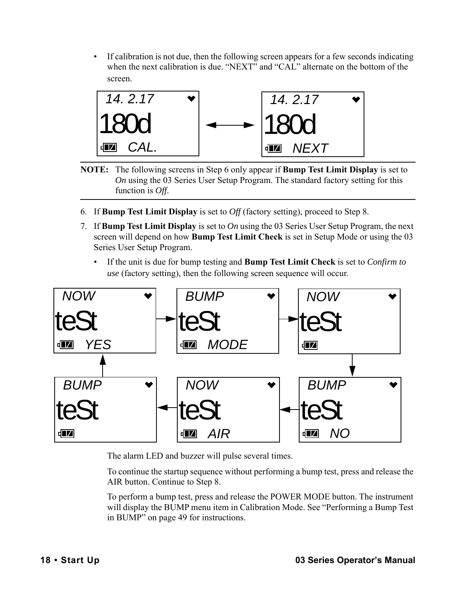• If calibration is not due, then the following screen appears for a few seconds indicating when the next calibration is due. "NEXT" and "CAL" alternate on the bottom of the screen.



- **NOTE:** The following screens in [Step 6](#page-17-0) only appear if **Bump Test Limit Display** is set to *On* using the 03 Series User Setup Program. The standard factory setting for this function is *Off*.
- <span id="page-17-0"></span>6. If **Bump Test Limit Display** is set to *Off* (factory setting), proceed to [Step 8.](#page-19-0)
- 7. If **Bump Test Limit Display** is set to *On* using the 03 Series User Setup Program, the next screen will depend on how **Bump Test Limit Check** is set in Setup Mode or using the 03 Series User Setup Program.
	- If the unit is due for bump testing and **Bump Test Limit Check** is set to *Confirm to use* (factory setting), then the following screen sequence will occur.



The alarm LED and buzzer will pulse several times.

To continue the startup sequence without performing a bump test, press and release the AIR button. Continue to [Step 8.](#page-19-0)

To perform a bump test, press and release the POWER MODE button. The instrument will display the BUMP menu item in Calibration Mode. See ["Performing a Bump Test](#page-48-0)  [in BUMP" on page 49](#page-48-0) for instructions.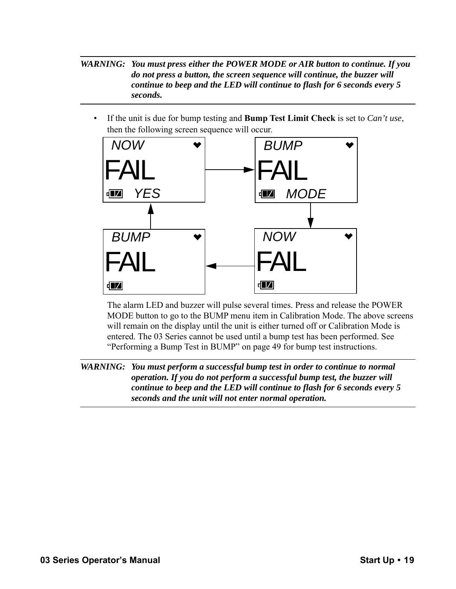*WARNING: You must press either the POWER MODE or AIR button to continue. If you do not press a button, the screen sequence will continue, the buzzer will continue to beep and the LED will continue to flash for 6 seconds every 5 seconds.*

• If the unit is due for bump testing and **Bump Test Limit Check** is set to *Can't use*, then the following screen sequence will occur.



The alarm LED and buzzer will pulse several times. Press and release the POWER MODE button to go to the BUMP menu item in Calibration Mode. The above screens will remain on the display until the unit is either turned off or Calibration Mode is entered. The 03 Series cannot be used until a bump test has been performed. See ["Performing a Bump Test in BUMP" on page 49](#page-48-0) for bump test instructions.

*WARNING: You must perform a successful bump test in order to continue to normal operation. If you do not perform a successful bump test, the buzzer will continue to beep and the LED will continue to flash for 6 seconds every 5 seconds and the unit will not enter normal operation.*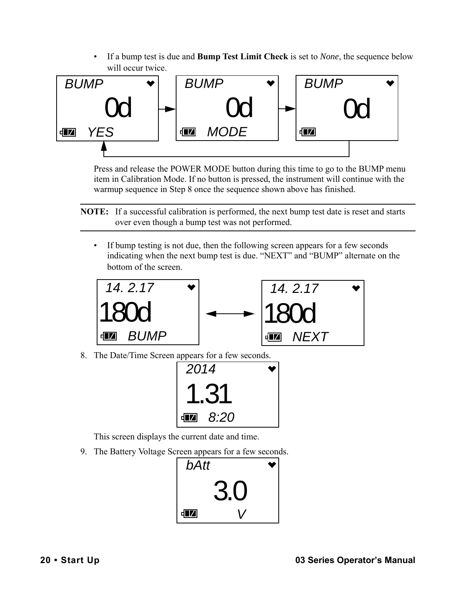• If a bump test is due and **Bump Test Limit Check** is set to *None*, the sequence below will occur twice.



Press and release the POWER MODE button during this time to go to the BUMP menu item in Calibration Mode. If no button is pressed, the instrument will continue with the warmup sequence in [Step 8](#page-19-0) once the sequence shown above has finished.

**NOTE:** If a successful calibration is performed, the next bump test date is reset and starts over even though a bump test was not performed.

• If bump testing is not due, then the following screen appears for a few seconds indicating when the next bump test is due. "NEXT" and "BUMP" alternate on the bottom of the screen.



<span id="page-19-0"></span>8. The Date/Time Screen appears for a few seconds.



This screen displays the current date and time.

9. The Battery Voltage Screen appears for a few seconds.

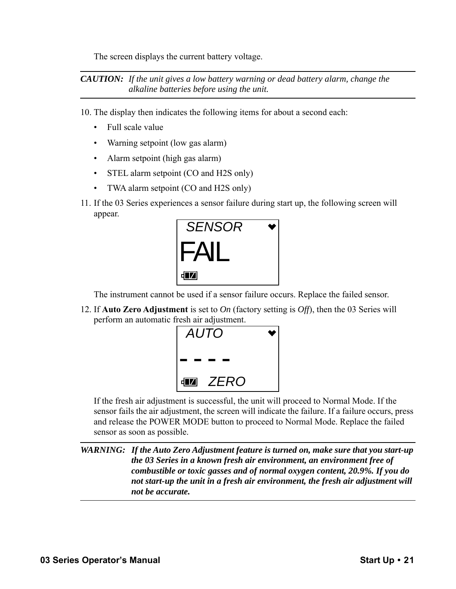The screen displays the current battery voltage.

*CAUTION: If the unit gives a low battery warning or dead battery alarm, change the alkaline batteries before using the unit.* 

10. The display then indicates the following items for about a second each:

- Full scale value
- Warning setpoint (low gas alarm)
- Alarm setpoint (high gas alarm)
- STEL alarm setpoint (CO and H2S only)
- TWA alarm setpoint (CO and H2S only)
- 11. If the 03 Series experiences a sensor failure during start up, the following screen will appear.



The instrument cannot be used if a sensor failure occurs. Replace the failed sensor.

12. If **Auto Zero Adjustment** is set to *On* (factory setting is *Off*), then the 03 Series will perform an automatic fresh air adjustment.



If the fresh air adjustment is successful, the unit will proceed to Normal Mode. If the sensor fails the air adjustment, the screen will indicate the failure. If a failure occurs, press and release the POWER MODE button to proceed to Normal Mode. Replace the failed sensor as soon as possible.

*WARNING: If the Auto Zero Adjustment feature is turned on, make sure that you start-up the 03 Series in a known fresh air environment, an environment free of combustible or toxic gasses and of normal oxygen content, 20.9%. If you do not start-up the unit in a fresh air environment, the fresh air adjustment will not be accurate.*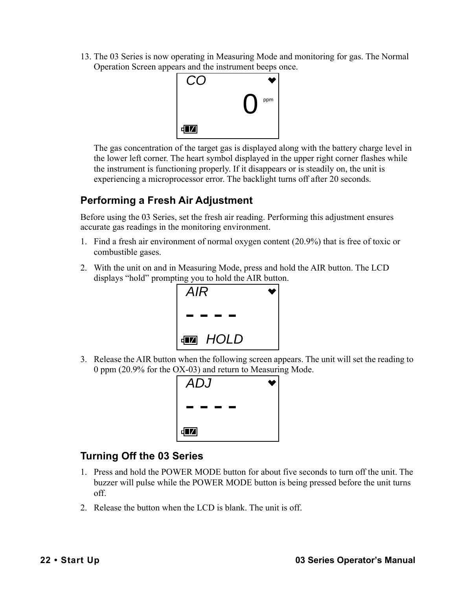13. The 03 Series is now operating in Measuring Mode and monitoring for gas. The Normal Operation Screen appears and the instrument beeps once.



The gas concentration of the target gas is displayed along with the battery charge level in the lower left corner. The heart symbol displayed in the upper right corner flashes while the instrument is functioning properly. If it disappears or is steadily on, the unit is experiencing a microprocessor error. The backlight turns off after 20 seconds.

# <span id="page-21-0"></span>**Performing a Fresh Air Adjustment**

Before using the 03 Series, set the fresh air reading. Performing this adjustment ensures accurate gas readings in the monitoring environment.

- 1. Find a fresh air environment of normal oxygen content (20.9%) that is free of toxic or combustible gases.
- 2. With the unit on and in Measuring Mode, press and hold the AIR button. The LCD displays "hold" prompting you to hold the AIR button.



3. Release the AIR button when the following screen appears. The unit will set the reading to 0 ppm (20.9% for the OX-03) and return to Measuring Mode.



# <span id="page-21-1"></span>**Turning Off the 03 Series**

- 1. Press and hold the POWER MODE button for about five seconds to turn off the unit. The buzzer will pulse while the POWER MODE button is being pressed before the unit turns off.
- 2. Release the button when the LCD is blank. The unit is off.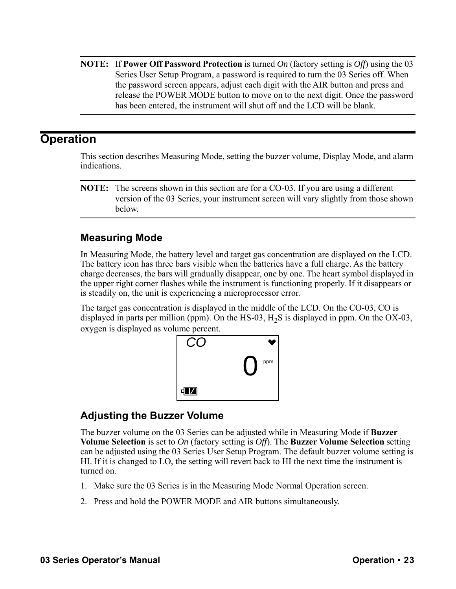**NOTE:** If **Power Off Password Protection** is turned *On* (factory setting is *Off*) using the 03 Series User Setup Program, a password is required to turn the 03 Series off. When the password screen appears, adjust each digit with the AIR button and press and release the POWER MODE button to move on to the next digit. Once the password has been entered, the instrument will shut off and the LCD will be blank.

## <span id="page-22-0"></span>**Operation**

This section describes Measuring Mode, setting the buzzer volume, Display Mode, and alarm indications.

**NOTE:** The screens shown in this section are for a CO-03. If you are using a different version of the 03 Series, your instrument screen will vary slightly from those shown below.

## <span id="page-22-1"></span>**Measuring Mode**

In Measuring Mode, the battery level and target gas concentration are displayed on the LCD. The battery icon has three bars visible when the batteries have a full charge. As the battery charge decreases, the bars will gradually disappear, one by one. The heart symbol displayed in the upper right corner flashes while the instrument is functioning properly. If it disappears or is steadily on, the unit is experiencing a microprocessor error.

The target gas concentration is displayed in the middle of the LCD. On the CO-03, CO is displayed in parts per million (ppm). On the HS-03,  $H<sub>2</sub>S$  is displayed in ppm. On the OX-03, oxygen is displayed as volume percent.



## <span id="page-22-2"></span>**Adjusting the Buzzer Volume**

The buzzer volume on the 03 Series can be adjusted while in Measuring Mode if **Buzzer Volume Selection** is set to *On* (factory setting is *Off*). The **Buzzer Volume Selection** setting can be adjusted using the 03 Series User Setup Program. The default buzzer volume setting is HI. If it is changed to LO, the setting will revert back to HI the next time the instrument is turned on.

- 1. Make sure the 03 Series is in the Measuring Mode Normal Operation screen.
- 2. Press and hold the POWER MODE and AIR buttons simultaneously.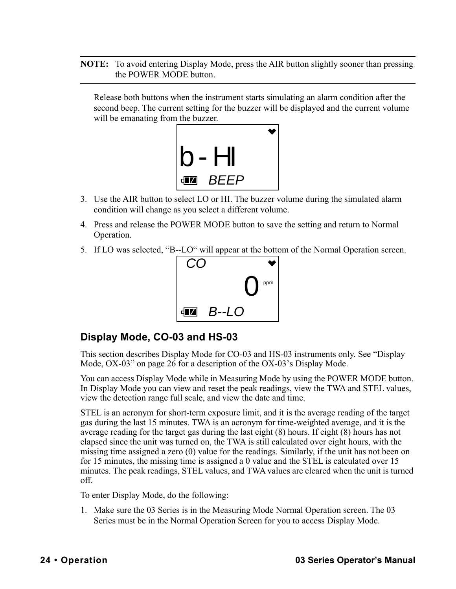**NOTE:** To avoid entering Display Mode, press the AIR button slightly sooner than pressing the POWER MODE button.

Release both buttons when the instrument starts simulating an alarm condition after the second beep. The current setting for the buzzer will be displayed and the current volume will be emanating from the buzzer.



- 3. Use the AIR button to select LO or HI. The buzzer volume during the simulated alarm condition will change as you select a different volume.
- 4. Press and release the POWER MODE button to save the setting and return to Normal Operation.
- 5. If LO was selected, "B--LO" will appear at the bottom of the Normal Operation screen.



## <span id="page-23-0"></span>**Display Mode, CO-03 and HS-03**

This section describes Display Mode for CO-03 and HS-03 instruments only. See ["Display](#page-25-0)  [Mode, OX-03" on page 26](#page-25-0) for a description of the OX-03's Display Mode.

You can access Display Mode while in Measuring Mode by using the POWER MODE button. In Display Mode you can view and reset the peak readings, view the TWA and STEL values, view the detection range full scale, and view the date and time.

STEL is an acronym for short-term exposure limit, and it is the average reading of the target gas during the last 15 minutes. TWA is an acronym for time-weighted average, and it is the average reading for the target gas during the last eight (8) hours. If eight (8) hours has not elapsed since the unit was turned on, the TWA is still calculated over eight hours, with the missing time assigned a zero (0) value for the readings. Similarly, if the unit has not been on for 15 minutes, the missing time is assigned a 0 value and the STEL is calculated over 15 minutes. The peak readings, STEL values, and TWA values are cleared when the unit is turned off.

To enter Display Mode, do the following:

1. Make sure the 03 Series is in the Measuring Mode Normal Operation screen. The 03 Series must be in the Normal Operation Screen for you to access Display Mode.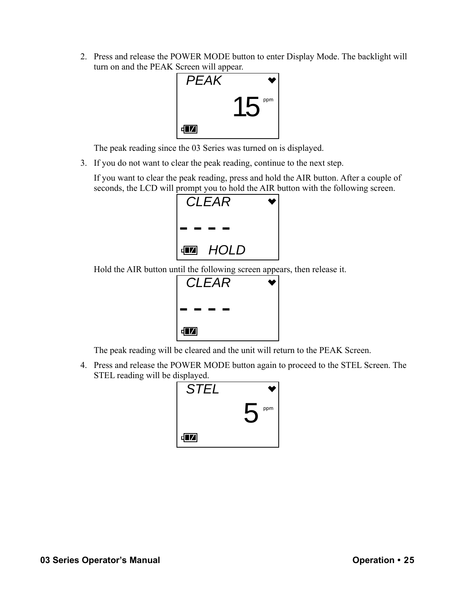2. Press and release the POWER MODE button to enter Display Mode. The backlight will turn on and the PEAK Screen will appear.



The peak reading since the 03 Series was turned on is displayed.

3. If you do not want to clear the peak reading, continue to the next step.

If you want to clear the peak reading, press and hold the AIR button. After a couple of seconds, the LCD will prompt you to hold the AIR button with the following screen.



Hold the AIR button until the following screen appears, then release it.



The peak reading will be cleared and the unit will return to the PEAK Screen.

4. Press and release the POWER MODE button again to proceed to the STEL Screen. The STEL reading will be displayed.

| <b>STEL</b> |     |
|-------------|-----|
|             | ppm |
| <b>FZ</b>   |     |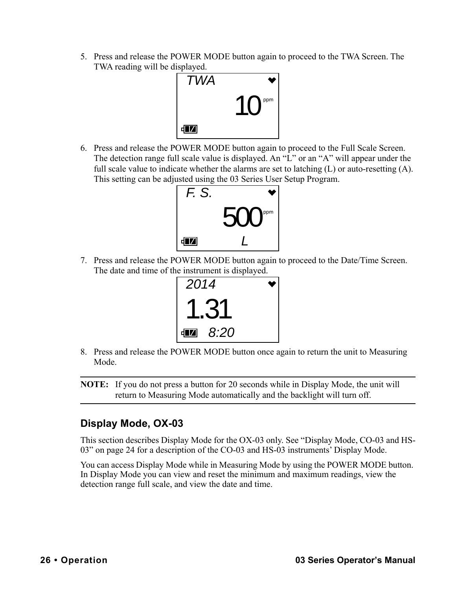5. Press and release the POWER MODE button again to proceed to the TWA Screen. The TWA reading will be displayed.



6. Press and release the POWER MODE button again to proceed to the Full Scale Screen. The detection range full scale value is displayed. An "L" or an "A" will appear under the full scale value to indicate whether the alarms are set to latching  $(L)$  or auto-resetting  $(A)$ . This setting can be adjusted using the 03 Series User Setup Program.



7. Press and release the POWER MODE button again to proceed to the Date/Time Screen. The date and time of the instrument is displayed.



8. Press and release the POWER MODE button once again to return the unit to Measuring Mode.

**NOTE:** If you do not press a button for 20 seconds while in Display Mode, the unit will return to Measuring Mode automatically and the backlight will turn off.

## <span id="page-25-0"></span>**Display Mode, OX-03**

This section describes Display Mode for the OX-03 only. See ["Display Mode, CO-03 and HS-](#page-23-0)[03" on page 24](#page-23-0) for a description of the CO-03 and HS-03 instruments' Display Mode.

You can access Display Mode while in Measuring Mode by using the POWER MODE button. In Display Mode you can view and reset the minimum and maximum readings, view the detection range full scale, and view the date and time.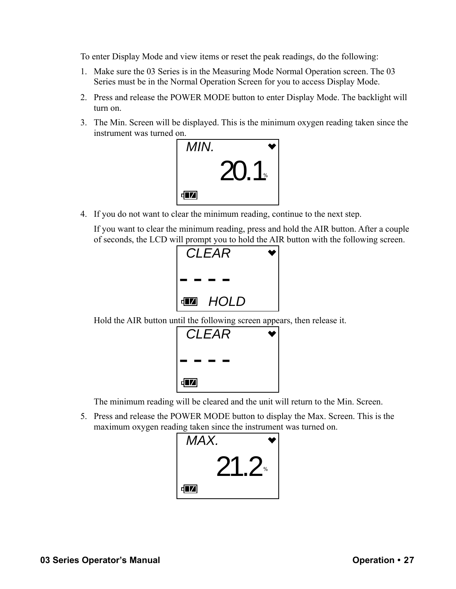To enter Display Mode and view items or reset the peak readings, do the following:

- 1. Make sure the 03 Series is in the Measuring Mode Normal Operation screen. The 03 Series must be in the Normal Operation Screen for you to access Display Mode.
- 2. Press and release the POWER MODE button to enter Display Mode. The backlight will turn on.
- 3. The Min. Screen will be displayed. This is the minimum oxygen reading taken since the instrument was turned on.



4. If you do not want to clear the minimum reading, continue to the next step.

If you want to clear the minimum reading, press and hold the AIR button. After a couple of seconds, the LCD will prompt you to hold the AIR button with the following screen.



Hold the AIR button until the following screen appears, then release it.



The minimum reading will be cleared and the unit will return to the Min. Screen.

5. Press and release the POWER MODE button to display the Max. Screen. This is the maximum oxygen reading taken since the instrument was turned on.

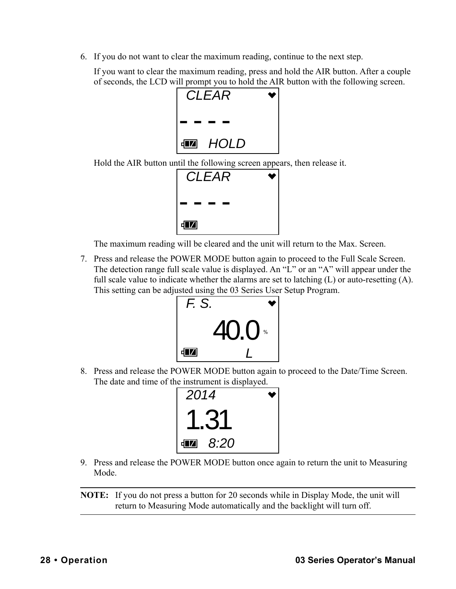6. If you do not want to clear the maximum reading, continue to the next step.

If you want to clear the maximum reading, press and hold the AIR button. After a couple of seconds, the LCD will prompt you to hold the AIR button with the following screen.



Hold the AIR button until the following screen appears, then release it.



The maximum reading will be cleared and the unit will return to the Max. Screen.

7. Press and release the POWER MODE button again to proceed to the Full Scale Screen. The detection range full scale value is displayed. An "L" or an "A" will appear under the full scale value to indicate whether the alarms are set to latching  $(L)$  or auto-resetting  $(A)$ . This setting can be adjusted using the 03 Series User Setup Program.



8. Press and release the POWER MODE button again to proceed to the Date/Time Screen. The date and time of the instrument is displayed.



9. Press and release the POWER MODE button once again to return the unit to Measuring Mode.

**NOTE:** If you do not press a button for 20 seconds while in Display Mode, the unit will return to Measuring Mode automatically and the backlight will turn off.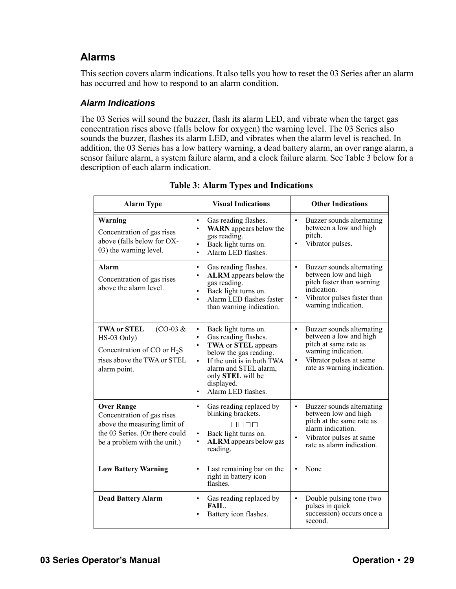## <span id="page-28-0"></span>**Alarms**

This section covers alarm indications. It also tells you how to reset the 03 Series after an alarm has occurred and how to respond to an alarm condition.

#### *Alarm Indications*

The 03 Series will sound the buzzer, flash its alarm LED, and vibrate when the target gas concentration rises above (falls below for oxygen) the warning level. The 03 Series also sounds the buzzer, flashes its alarm LED, and vibrates when the alarm level is reached. In addition, the 03 Series has a low battery warning, a dead battery alarm, an over range alarm, a sensor failure alarm, a system failure alarm, and a clock failure alarm. See Table 3 below for a description of each alarm indication.

| <b>Alarm Type</b>                                                                                                                                 | <b>Visual Indications</b>                                                                                                                                                                                                                                                      | <b>Other Indications</b>                                                                                                                                                                |
|---------------------------------------------------------------------------------------------------------------------------------------------------|--------------------------------------------------------------------------------------------------------------------------------------------------------------------------------------------------------------------------------------------------------------------------------|-----------------------------------------------------------------------------------------------------------------------------------------------------------------------------------------|
| Warning<br>Concentration of gas rises<br>above (falls below for OX-<br>03) the warning level.                                                     | Gas reading flashes.<br>$\bullet$<br><b>WARN</b> appears below the<br>$\bullet$<br>gas reading.<br>Back light turns on.<br>$\bullet$<br>Alarm LED flashes.<br>$\bullet$                                                                                                        | Buzzer sounds alternating<br>$\bullet$<br>between a low and high<br>pitch.<br>Vibrator pulses.                                                                                          |
| Alarm<br>Concentration of gas rises<br>above the alarm level.                                                                                     | Gas reading flashes.<br>$\bullet$<br><b>ALRM</b> appears below the<br>$\bullet$<br>gas reading.<br>Back light turns on.<br>Alarm LED flashes faster<br>$\bullet$<br>than warning indication.                                                                                   | Buzzer sounds alternating<br>$\bullet$<br>between low and high<br>pitch faster than warning<br>indication.<br>Vibrator pulses faster than<br>$\bullet$<br>warning indication.           |
| <b>TWA or STEL</b><br>$(CO-03 \&$<br>$HS-03$ Only)<br>Concentration of CO or $H_2S$<br>rises above the TWA or STEL<br>alarm point.                | Back light turns on.<br>$\bullet$<br>Gas reading flashes.<br>$\bullet$<br>TWA or STEL appears<br>$\bullet$<br>below the gas reading.<br>If the unit is in both TWA<br>$\bullet$<br>alarm and STEL alarm,<br>only STEL will be<br>displayed.<br>Alarm LED flashes.<br>$\bullet$ | Buzzer sounds alternating<br>$\bullet$<br>between a low and high<br>pitch at same rate as<br>warning indication.<br>Vibrator pulses at same<br>$\bullet$<br>rate as warning indication. |
| <b>Over Range</b><br>Concentration of gas rises<br>above the measuring limit of<br>the 03 Series. (Or there could<br>be a problem with the unit.) | Gas reading replaced by<br>$\bullet$<br>blinking brackets.<br>UUUU<br>Back light turns on.<br>$\bullet$<br><b>ALRM</b> appears below gas<br>$\bullet$<br>reading.                                                                                                              | Buzzer sounds alternating<br>between low and high<br>pitch at the same rate as<br>alarm indication.<br>Vibrator pulses at same<br>rate as alarm indication.                             |
| <b>Low Battery Warning</b>                                                                                                                        | Last remaining bar on the<br>$\bullet$<br>right in battery icon<br>flashes.                                                                                                                                                                                                    | None                                                                                                                                                                                    |
| <b>Dead Battery Alarm</b>                                                                                                                         | Gas reading replaced by<br>$\bullet$<br>FAIL.<br>Battery icon flashes.                                                                                                                                                                                                         | Double pulsing tone (two<br>$\bullet$<br>pulses in quick<br>succession) occurs once a<br>second.                                                                                        |

**Table 3: Alarm Types and Indications**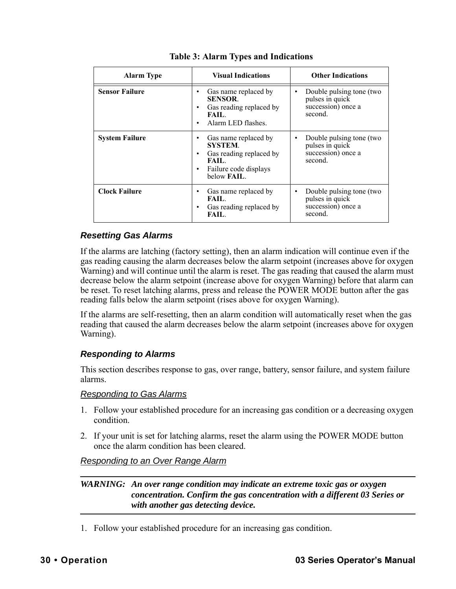| <b>Alarm Type</b>     | <b>Visual Indications</b>                                                                                                            | <b>Other Indications</b>                                                          |
|-----------------------|--------------------------------------------------------------------------------------------------------------------------------------|-----------------------------------------------------------------------------------|
| <b>Sensor Failure</b> | Gas name replaced by<br><b>SENSOR.</b><br>Gas reading replaced by<br>FAIL.<br>Alarm LED flashes.                                     | Double pulsing tone (two<br>٠<br>pulses in quick<br>succession) once a<br>second. |
| <b>System Failure</b> | Gas name replaced by<br>٠<br><b>SYSTEM.</b><br>Gas reading replaced by<br>٠<br>FAIL.<br>Failure code displays<br>below <b>FAIL</b> . | Double pulsing tone (two<br>٠<br>pulses in quick<br>succession) once a<br>second. |
| <b>Clock Failure</b>  | Gas name replaced by<br>٠<br>FAIL.<br>Gas reading replaced by<br>FAIL.                                                               | Double pulsing tone (two<br>pulses in quick<br>succession) once a<br>second.      |

#### **Table 3: Alarm Types and Indications**

#### *Resetting Gas Alarms*

If the alarms are latching (factory setting), then an alarm indication will continue even if the gas reading causing the alarm decreases below the alarm setpoint (increases above for oxygen Warning) and will continue until the alarm is reset. The gas reading that caused the alarm must decrease below the alarm setpoint (increase above for oxygen Warning) before that alarm can be reset. To reset latching alarms, press and release the POWER MODE button after the gas reading falls below the alarm setpoint (rises above for oxygen Warning).

If the alarms are self-resetting, then an alarm condition will automatically reset when the gas reading that caused the alarm decreases below the alarm setpoint (increases above for oxygen Warning).

#### *Responding to Alarms*

This section describes response to gas, over range, battery, sensor failure, and system failure alarms.

#### *Responding to Gas Alarms*

- 1. Follow your established procedure for an increasing gas condition or a decreasing oxygen condition.
- 2. If your unit is set for latching alarms, reset the alarm using the POWER MODE button once the alarm condition has been cleared.

#### *Responding to an Over Range Alarm*

*WARNING: An over range condition may indicate an extreme toxic gas or oxygen concentration. Confirm the gas concentration with a different 03 Series or with another gas detecting device.*

1. Follow your established procedure for an increasing gas condition.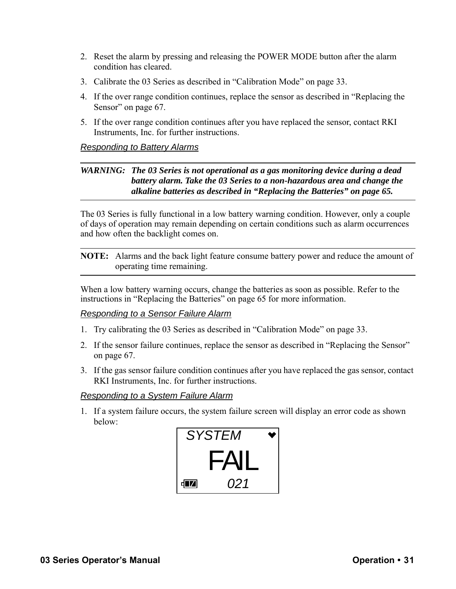- 2. Reset the alarm by pressing and releasing the POWER MODE button after the alarm condition has cleared.
- 3. Calibrate the 03 Series as described in ["Calibration Mode" on page 33](#page-32-0).
- 4. If the over range condition continues, replace the sensor as described in ["Replacing the](#page-66-0)  [Sensor" on page 67.](#page-66-0)
- 5. If the over range condition continues after you have replaced the sensor, contact RKI Instruments, Inc. for further instructions.

#### *Responding to Battery Alarms*

#### *WARNING: The 03 Series is not operational as a gas monitoring device during a dead battery alarm. Take the 03 Series to a non-hazardous area and change the alkaline batteries as described in ["Replacing the Batteries" on page 65.](#page-64-0)*

The 03 Series is fully functional in a low battery warning condition. However, only a couple of days of operation may remain depending on certain conditions such as alarm occurrences and how often the backlight comes on.

**NOTE:** Alarms and the back light feature consume battery power and reduce the amount of operating time remaining.

When a low battery warning occurs, change the batteries as soon as possible. Refer to the instructions in ["Replacing the Batteries" on page 65](#page-64-0) for more information.

#### *Responding to a Sensor Failure Alarm*

- 1. Try calibrating the 03 Series as described in ["Calibration Mode" on page 33.](#page-32-0)
- 2. If the sensor failure continues, replace the sensor as described in ["Replacing the Sensor"](#page-66-0)  [on page 67.](#page-66-0)
- 3. If the gas sensor failure condition continues after you have replaced the gas sensor, contact RKI Instruments, Inc. for further instructions.

#### *Responding to a System Failure Alarm*

1. If a system failure occurs, the system failure screen will display an error code as shown below:

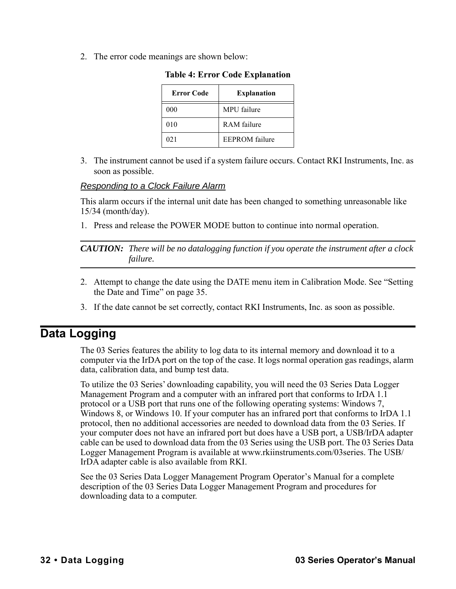2. The error code meanings are shown below:

| <b>Error Code</b> | <b>Explanation</b>    |
|-------------------|-----------------------|
| 000               | MPU failure           |
| 010               | RAM failure           |
| 021               | <b>EEPROM</b> failure |

**Table 4: Error Code Explanation**

3. The instrument cannot be used if a system failure occurs. Contact RKI Instruments, Inc. as soon as possible.

#### *Responding to a Clock Failure Alarm*

This alarm occurs if the internal unit date has been changed to something unreasonable like 15/34 (month/day).

1. Press and release the POWER MODE button to continue into normal operation.

*CAUTION: There will be no datalogging function if you operate the instrument after a clock failure.*

- 2. Attempt to change the date using the DATE menu item in Calibration Mode. See ["Setting](#page-34-0)  [the Date and Time" on page 35](#page-34-0).
- 3. If the date cannot be set correctly, contact RKI Instruments, Inc. as soon as possible.

# <span id="page-31-0"></span>**Data Logging**

The 03 Series features the ability to log data to its internal memory and download it to a computer via the IrDA port on the top of the case. It logs normal operation gas readings, alarm data, calibration data, and bump test data.

To utilize the 03 Series' downloading capability, you will need the 03 Series Data Logger Management Program and a computer with an infrared port that conforms to IrDA 1.1 protocol or a USB port that runs one of the following operating systems: Windows 7, Windows 8, or Windows 10. If your computer has an infrared port that conforms to IrDA 1.1 protocol, then no additional accessories are needed to download data from the 03 Series. If your computer does not have an infrared port but does have a USB port, a USB/IrDA adapter cable can be used to download data from the 03 Series using the USB port. The 03 Series Data Logger Management Program is available at www.rkiinstruments.com/03series. The USB/ IrDA adapter cable is also available from RKI.

See the 03 Series Data Logger Management Program Operator's Manual for a complete description of the 03 Series Data Logger Management Program and procedures for downloading data to a computer.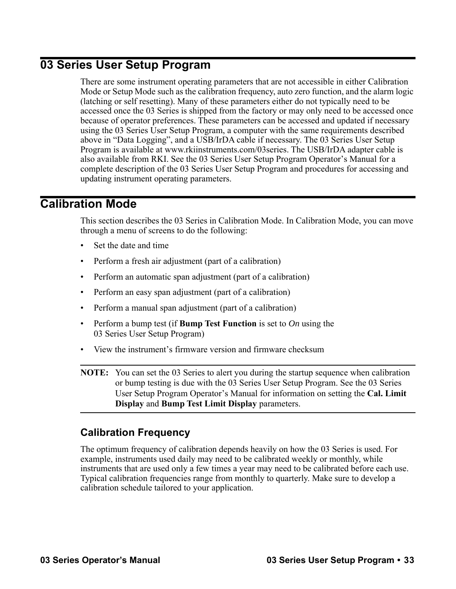# <span id="page-32-1"></span>**03 Series User Setup Program**

There are some instrument operating parameters that are not accessible in either Calibration Mode or Setup Mode such as the calibration frequency, auto zero function, and the alarm logic (latching or self resetting). Many of these parameters either do not typically need to be accessed once the 03 Series is shipped from the factory or may only need to be accessed once because of operator preferences. These parameters can be accessed and updated if necessary using the 03 Series User Setup Program, a computer with the same requirements described above in ["Data Logging",](#page-31-0) and a USB/IrDA cable if necessary. The 03 Series User Setup Program is available at www.rkiinstruments.com/03series. The USB/IrDA adapter cable is also available from RKI. See the 03 Series User Setup Program Operator's Manual for a complete description of the 03 Series User Setup Program and procedures for accessing and updating instrument operating parameters.

# <span id="page-32-0"></span>**Calibration Mode**

This section describes the 03 Series in Calibration Mode. In Calibration Mode, you can move through a menu of screens to do the following:

- Set the date and time
- Perform a fresh air adjustment (part of a calibration)
- Perform an automatic span adjustment (part of a calibration)
- Perform an easy span adjustment (part of a calibration)
- Perform a manual span adjustment (part of a calibration)
- Perform a bump test (if **Bump Test Function** is set to *On* using the 03 Series User Setup Program)
- View the instrument's firmware version and firmware checksum

**NOTE:** You can set the 03 Series to alert you during the startup sequence when calibration or bump testing is due with the 03 Series User Setup Program. See the 03 Series User Setup Program Operator's Manual for information on setting the **Cal. Limit Display** and **Bump Test Limit Display** parameters.

## <span id="page-32-2"></span>**Calibration Frequency**

The optimum frequency of calibration depends heavily on how the 03 Series is used. For example, instruments used daily may need to be calibrated weekly or monthly, while instruments that are used only a few times a year may need to be calibrated before each use. Typical calibration frequencies range from monthly to quarterly. Make sure to develop a calibration schedule tailored to your application.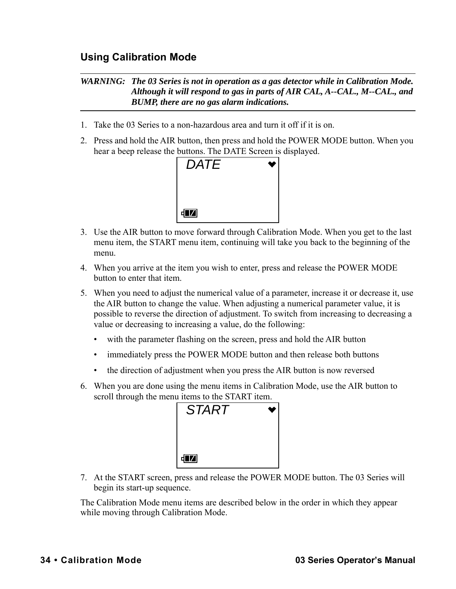## <span id="page-33-0"></span>**Using Calibration Mode**

#### *WARNING: The 03 Series is not in operation as a gas detector while in Calibration Mode. Although it will respond to gas in parts of AIR CAL, A--CAL., M--CAL., and BUMP, there are no gas alarm indications.*

- 1. Take the 03 Series to a non-hazardous area and turn it off if it is on.
- 2. Press and hold the AIR button, then press and hold the POWER MODE button. When you hear a beep release the buttons. The DATE Screen is displayed.



- 3. Use the AIR button to move forward through Calibration Mode. When you get to the last menu item, the START menu item, continuing will take you back to the beginning of the menu.
- 4. When you arrive at the item you wish to enter, press and release the POWER MODE button to enter that item.
- 5. When you need to adjust the numerical value of a parameter, increase it or decrease it, use the AIR button to change the value. When adjusting a numerical parameter value, it is possible to reverse the direction of adjustment. To switch from increasing to decreasing a value or decreasing to increasing a value, do the following:
	- with the parameter flashing on the screen, press and hold the AIR button
	- immediately press the POWER MODE button and then release both buttons
	- the direction of adjustment when you press the AIR button is now reversed
- 6. When you are done using the menu items in Calibration Mode, use the AIR button to scroll through the menu items to the START item.



7. At the START screen, press and release the POWER MODE button. The 03 Series will begin its start-up sequence.

The Calibration Mode menu items are described below in the order in which they appear while moving through Calibration Mode.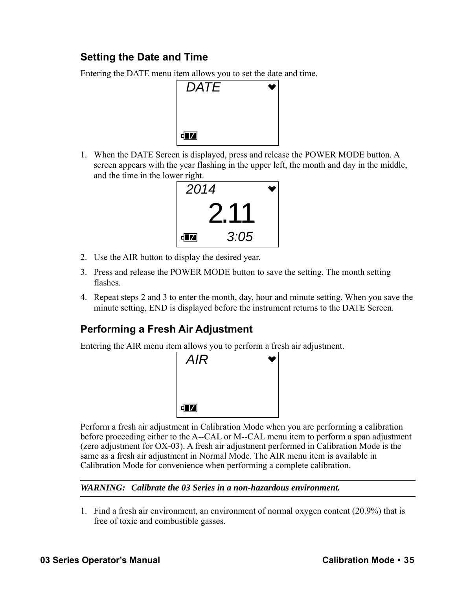# <span id="page-34-0"></span>**Setting the Date and Time**

Entering the DATE menu item allows you to set the date and time.



1. When the DATE Screen is displayed, press and release the POWER MODE button. A screen appears with the year flashing in the upper left, the month and day in the middle, and the time in the lower right.



- 2. Use the AIR button to display the desired year.
- 3. Press and release the POWER MODE button to save the setting. The month setting flashes.
- 4. Repeat steps 2 and 3 to enter the month, day, hour and minute setting. When you save the minute setting, END is displayed before the instrument returns to the DATE Screen.

# <span id="page-34-1"></span>**Performing a Fresh Air Adjustment**

Entering the AIR menu item allows you to perform a fresh air adjustment.



Perform a fresh air adjustment in Calibration Mode when you are performing a calibration before proceeding either to the A--CAL or M--CAL menu item to perform a span adjustment (zero adjustment for OX-03). A fresh air adjustment performed in Calibration Mode is the same as a fresh air adjustment in Normal Mode. The AIR menu item is available in Calibration Mode for convenience when performing a complete calibration.

#### *WARNING: Calibrate the 03 Series in a non-hazardous environment.*

1. Find a fresh air environment, an environment of normal oxygen content (20.9%) that is free of toxic and combustible gasses.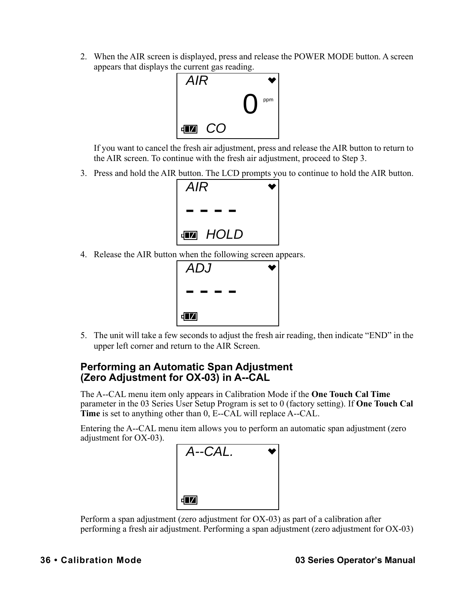2. When the AIR screen is displayed, press and release the POWER MODE button. A screen appears that displays the current gas reading.



If you want to cancel the fresh air adjustment, press and release the AIR button to return to the AIR screen. To continue with the fresh air adjustment, proceed to [Step 3.](#page-35-1)

<span id="page-35-1"></span>3. Press and hold the AIR button. The LCD prompts you to continue to hold the AIR button.



4. Release the AIR button when the following screen appears.

| <b>ADJ</b>  |  |
|-------------|--|
|             |  |
| $\sqrt{17}$ |  |

5. The unit will take a few seconds to adjust the fresh air reading, then indicate "END" in the upper left corner and return to the AIR Screen.

#### <span id="page-35-0"></span>**Performing an Automatic Span Adjustment (Zero Adjustment for OX-03) in A--CAL**

The A--CAL menu item only appears in Calibration Mode if the **One Touch Cal Time** parameter in the 03 Series User Setup Program is set to 0 (factory setting). If **One Touch Cal Time** is set to anything other than 0, E--CAL will replace A--CAL.

Entering the A--CAL menu item allows you to perform an automatic span adjustment (zero adjustment for OX-03).



Perform a span adjustment (zero adjustment for OX-03) as part of a calibration after performing a fresh air adjustment. Performing a span adjustment (zero adjustment for OX-03)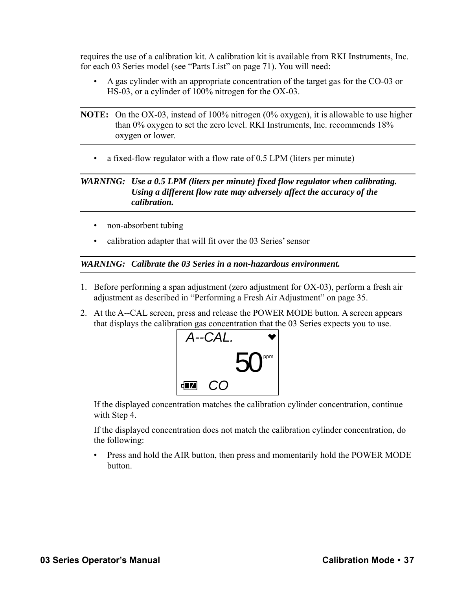requires the use of a calibration kit. A calibration kit is available from RKI Instruments, Inc. for each 03 Series model (see ["Parts List" on page 71](#page-70-0)). You will need:

• A gas cylinder with an appropriate concentration of the target gas for the CO-03 or HS-03, or a cylinder of 100% nitrogen for the OX-03.

• a fixed-flow regulator with a flow rate of 0.5 LPM (liters per minute)

#### *WARNING: Use a 0.5 LPM (liters per minute) fixed flow regulator when calibrating. Using a different flow rate may adversely affect the accuracy of the calibration.*

- non-absorbent tubing
- calibration adapter that will fit over the 03 Series' sensor

*WARNING: Calibrate the 03 Series in a non-hazardous environment.*

- 1. Before performing a span adjustment (zero adjustment for OX-03), perform a fresh air adjustment as described in ["Performing a Fresh Air Adjustment" on page 35](#page-34-0).
- 2. At the A--CAL screen, press and release the POWER MODE button. A screen appears that displays the calibration gas concentration that the 03 Series expects you to use.



If the displayed concentration matches the calibration cylinder concentration, continue with Step 4.

If the displayed concentration does not match the calibration cylinder concentration, do the following:

• Press and hold the AIR button, then press and momentarily hold the POWER MODE button.

**NOTE:** On the OX-03, instead of 100% nitrogen (0% oxygen), it is allowable to use higher than 0% oxygen to set the zero level. RKI Instruments, Inc. recommends 18% oxygen or lower.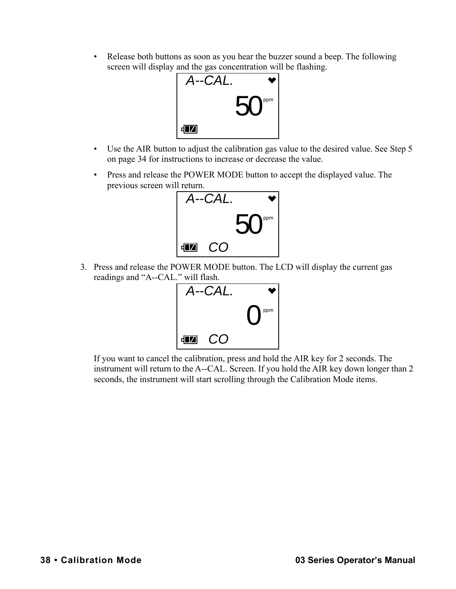• Release both buttons as soon as you hear the buzzer sound a beep. The following screen will display and the gas concentration will be flashing.



- Use the AIR button to adjust the calibration gas value to the desired value. See Step 5 on page 34 for instructions to increase or decrease the value.
- Press and release the POWER MODE button to accept the displayed value. The previous screen will return.



<span id="page-37-0"></span>3. Press and release the POWER MODE button. The LCD will display the current gas readings and "A--CAL." will flash.



If you want to cancel the calibration, press and hold the AIR key for 2 seconds. The instrument will return to the A--CAL. Screen. If you hold the AIR key down longer than 2 seconds, the instrument will start scrolling through the Calibration Mode items.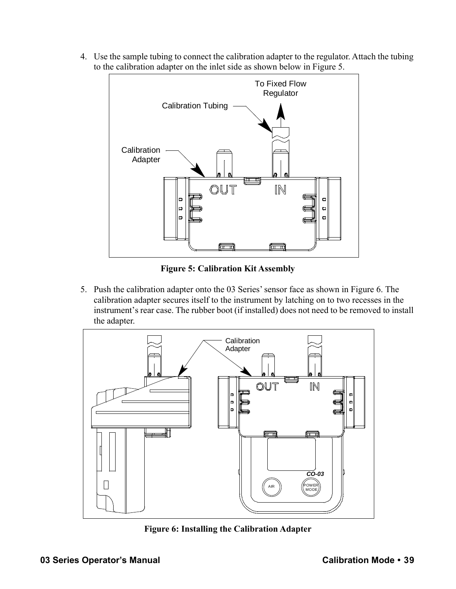4. Use the sample tubing to connect the calibration adapter to the regulator. Attach the tubing to the calibration adapter on the inlet side as shown below in Figure 5.



**Figure 5: Calibration Kit Assembly**

5. Push the calibration adapter onto the 03 Series' sensor face as shown in Figure 6. The calibration adapter secures itself to the instrument by latching on to two recesses in the instrument's rear case. The rubber boot (if installed) does not need to be removed to install the adapter.



**Figure 6: Installing the Calibration Adapter**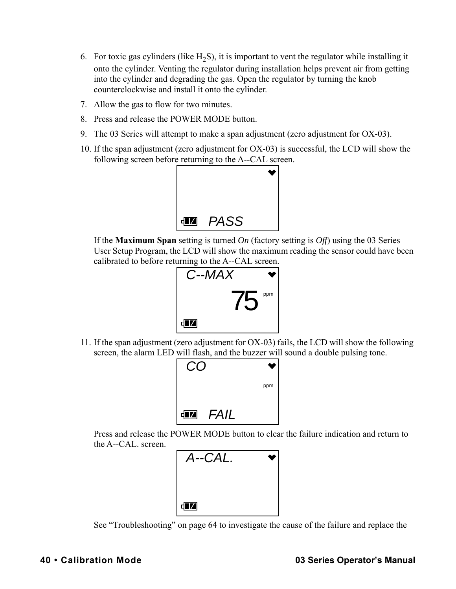- 6. For toxic gas cylinders (like  $H_2S$ ), it is important to vent the regulator while installing it onto the cylinder. Venting the regulator during installation helps prevent air from getting into the cylinder and degrading the gas. Open the regulator by turning the knob counterclockwise and install it onto the cylinder.
- 7. Allow the gas to flow for two minutes.
- 8. Press and release the POWER MODE button.
- 9. The 03 Series will attempt to make a span adjustment (zero adjustment for OX-03).
- 10. If the span adjustment (zero adjustment for OX-03) is successful, the LCD will show the following screen before returning to the A--CAL screen.



If the **Maximum Span** setting is turned *On* (factory setting is *Off*) using the 03 Series User Setup Program, the LCD will show the maximum reading the sensor could have been calibrated to before returning to the A--CAL screen.



11. If the span adjustment (zero adjustment for OX-03) fails, the LCD will show the following screen, the alarm LED will flash, and the buzzer will sound a double pulsing tone.



Press and release the POWER MODE button to clear the failure indication and return to the A--CAL. screen.



See ["Troubleshooting" on page 64](#page-63-0) to investigate the cause of the failure and replace the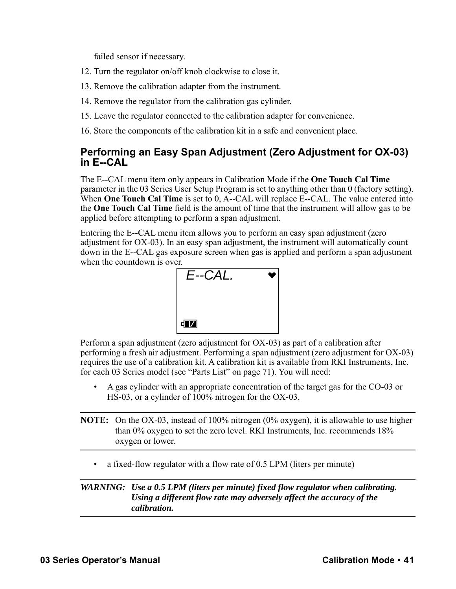failed sensor if necessary.

- 12. Turn the regulator on/off knob clockwise to close it.
- 13. Remove the calibration adapter from the instrument.
- 14. Remove the regulator from the calibration gas cylinder.
- 15. Leave the regulator connected to the calibration adapter for convenience.
- 16. Store the components of the calibration kit in a safe and convenient place.

### <span id="page-40-0"></span>**Performing an Easy Span Adjustment (Zero Adjustment for OX-03) in E--CAL**

The E--CAL menu item only appears in Calibration Mode if the **One Touch Cal Time** parameter in the 03 Series User Setup Program is set to anything other than 0 (factory setting). When **One Touch Cal Time** is set to 0, A--CAL will replace E--CAL. The value entered into the **One Touch Cal Time** field is the amount of time that the instrument will allow gas to be applied before attempting to perform a span adjustment.

Entering the E--CAL menu item allows you to perform an easy span adjustment (zero adjustment for OX-03). In an easy span adjustment, the instrument will automatically count down in the E--CAL gas exposure screen when gas is applied and perform a span adjustment when the countdown is over.



Perform a span adjustment (zero adjustment for OX-03) as part of a calibration after performing a fresh air adjustment. Performing a span adjustment (zero adjustment for OX-03) requires the use of a calibration kit. A calibration kit is available from RKI Instruments, Inc. for each 03 Series model (see ["Parts List" on page 71](#page-70-0)). You will need:

• A gas cylinder with an appropriate concentration of the target gas for the CO-03 or HS-03, or a cylinder of 100% nitrogen for the OX-03.

**NOTE:** On the OX-03, instead of 100% nitrogen (0% oxygen), it is allowable to use higher than 0% oxygen to set the zero level. RKI Instruments, Inc. recommends 18% oxygen or lower.

• a fixed-flow regulator with a flow rate of 0.5 LPM (liters per minute)

#### *WARNING: Use a 0.5 LPM (liters per minute) fixed flow regulator when calibrating. Using a different flow rate may adversely affect the accuracy of the calibration.*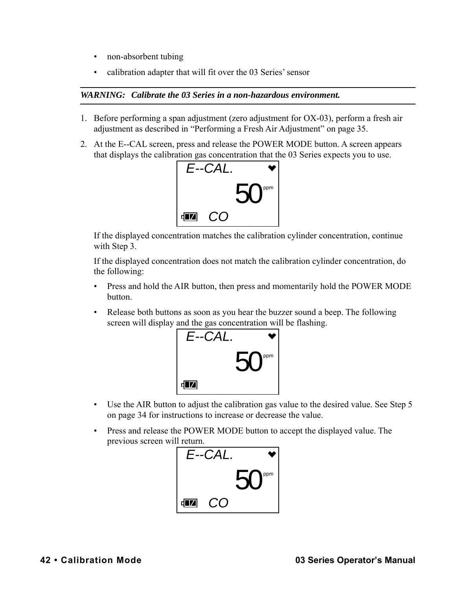- non-absorbent tubing
- calibration adapter that will fit over the 03 Series' sensor

#### *WARNING: Calibrate the 03 Series in a non-hazardous environment.*

- 1. Before performing a span adjustment (zero adjustment for OX-03), perform a fresh air adjustment as described in ["Performing a Fresh Air Adjustment" on page 35](#page-34-0).
- 2. At the E--CAL screen, press and release the POWER MODE button. A screen appears that displays the calibration gas concentration that the 03 Series expects you to use.



If the displayed concentration matches the calibration cylinder concentration, continue with [Step 3.](#page-37-0)

If the displayed concentration does not match the calibration cylinder concentration, do the following:

- Press and hold the AIR button, then press and momentarily hold the POWER MODE button.
- Release both buttons as soon as you hear the buzzer sound a beep. The following screen will display and the gas concentration will be flashing.



- Use the AIR button to adjust the calibration gas value to the desired value. See Step 5 on page 34 for instructions to increase or decrease the value.
- Press and release the POWER MODE button to accept the displayed value. The previous screen will return.

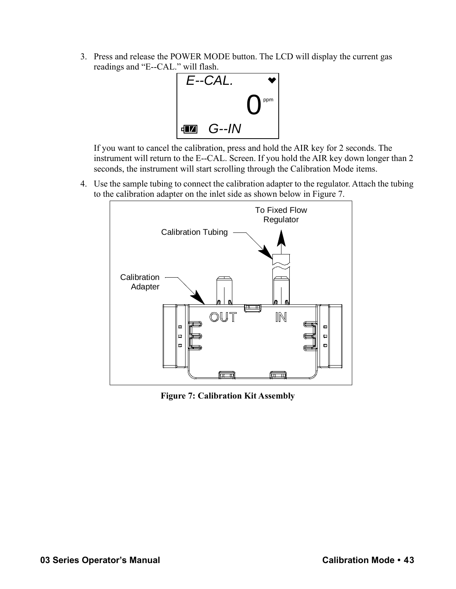<span id="page-42-1"></span>3. Press and release the POWER MODE button. The LCD will display the current gas readings and "E--CAL." will flash.



If you want to cancel the calibration, press and hold the AIR key for 2 seconds. The instrument will return to the E--CAL. Screen. If you hold the AIR key down longer than 2 seconds, the instrument will start scrolling through the Calibration Mode items.

4. Use the sample tubing to connect the calibration adapter to the regulator. Attach the tubing to the calibration adapter on the inlet side as shown below in [Figure 7](#page-42-0).



<span id="page-42-0"></span>**Figure 7: Calibration Kit Assembly**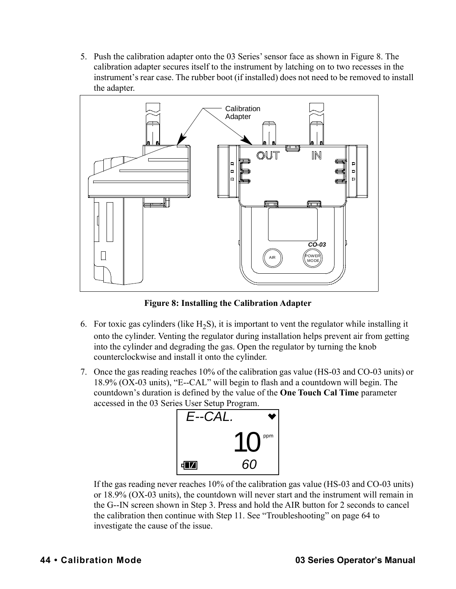5. Push the calibration adapter onto the 03 Series' sensor face as shown in [Figure 8.](#page-43-0) The calibration adapter secures itself to the instrument by latching on to two recesses in the instrument's rear case. The rubber boot (if installed) does not need to be removed to install the adapter.



**Figure 8: Installing the Calibration Adapter**

- <span id="page-43-0"></span>6. For toxic gas cylinders (like  $H_2S$ ), it is important to vent the regulator while installing it onto the cylinder. Venting the regulator during installation helps prevent air from getting into the cylinder and degrading the gas. Open the regulator by turning the knob counterclockwise and install it onto the cylinder.
- 7. Once the gas reading reaches 10% of the calibration gas value (HS-03 and CO-03 units) or 18.9% (OX-03 units), "E--CAL" will begin to flash and a countdown will begin. The countdown's duration is defined by the value of the **One Touch Cal Time** parameter accessed in the 03 Series User Setup Program.



If the gas reading never reaches 10% of the calibration gas value (HS-03 and CO-03 units) or 18.9% (OX-03 units), the countdown will never start and the instrument will remain in the G--IN screen shown in [Step 3.](#page-42-1) Press and hold the AIR button for 2 seconds to cancel the calibration then continue with [Step 11](#page-44-0). See ["Troubleshooting" on page 64](#page-63-0) to investigate the cause of the issue.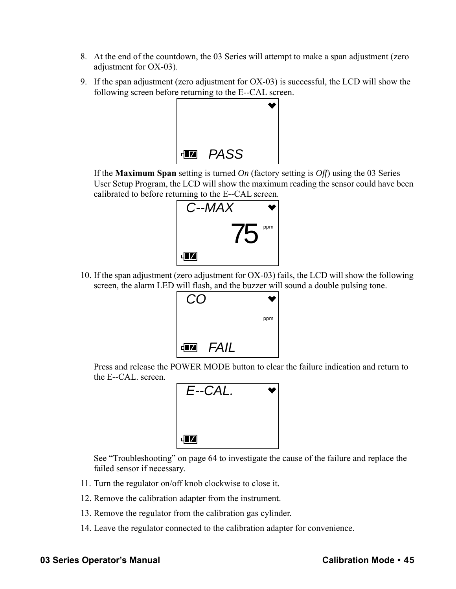- 8. At the end of the countdown, the 03 Series will attempt to make a span adjustment (zero adjustment for OX-03).
- 9. If the span adjustment (zero adjustment for OX-03) is successful, the LCD will show the following screen before returning to the E--CAL screen.



If the **Maximum Span** setting is turned *On* (factory setting is *Off*) using the 03 Series User Setup Program, the LCD will show the maximum reading the sensor could have been calibrated to before returning to the E--CAL screen.



10. If the span adjustment (zero adjustment for OX-03) fails, the LCD will show the following screen, the alarm LED will flash, and the buzzer will sound a double pulsing tone.



Press and release the POWER MODE button to clear the failure indication and return to the E--CAL. screen.



See ["Troubleshooting" on page 64](#page-63-0) to investigate the cause of the failure and replace the failed sensor if necessary.

- <span id="page-44-0"></span>11. Turn the regulator on/off knob clockwise to close it.
- 12. Remove the calibration adapter from the instrument.
- 13. Remove the regulator from the calibration gas cylinder.
- 14. Leave the regulator connected to the calibration adapter for convenience.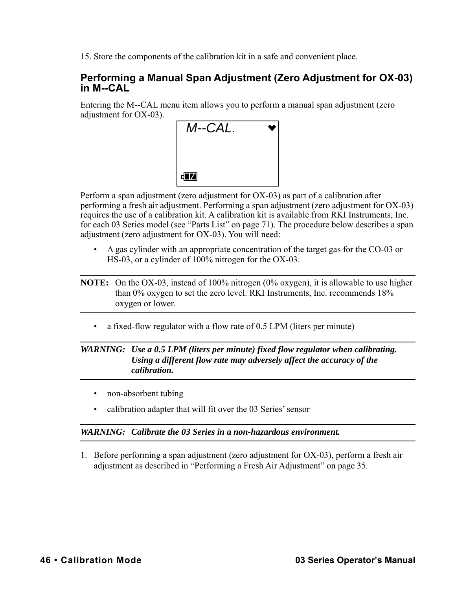15. Store the components of the calibration kit in a safe and convenient place.

### <span id="page-45-0"></span>**Performing a Manual Span Adjustment (Zero Adjustment for OX-03) in M--CAL**

Entering the M--CAL menu item allows you to perform a manual span adjustment (zero adjustment for OX-03).



Perform a span adjustment (zero adjustment for OX-03) as part of a calibration after performing a fresh air adjustment. Performing a span adjustment (zero adjustment for OX-03) requires the use of a calibration kit. A calibration kit is available from RKI Instruments, Inc. for each 03 Series model (see ["Parts List" on page 71](#page-70-0)). The procedure below describes a span adjustment (zero adjustment for OX-03). You will need:

- A gas cylinder with an appropriate concentration of the target gas for the CO-03 or HS-03, or a cylinder of 100% nitrogen for the OX-03.
- **NOTE:** On the OX-03, instead of 100% nitrogen (0% oxygen), it is allowable to use higher than 0% oxygen to set the zero level. RKI Instruments, Inc. recommends 18% oxygen or lower.
	- a fixed-flow regulator with a flow rate of 0.5 LPM (liters per minute)

#### *WARNING: Use a 0.5 LPM (liters per minute) fixed flow regulator when calibrating. Using a different flow rate may adversely affect the accuracy of the calibration.*

- non-absorbent tubing
- calibration adapter that will fit over the 03 Series' sensor

#### *WARNING: Calibrate the 03 Series in a non-hazardous environment.*

1. Before performing a span adjustment (zero adjustment for OX-03), perform a fresh air adjustment as described in ["Performing a Fresh Air Adjustment" on page 35](#page-34-0).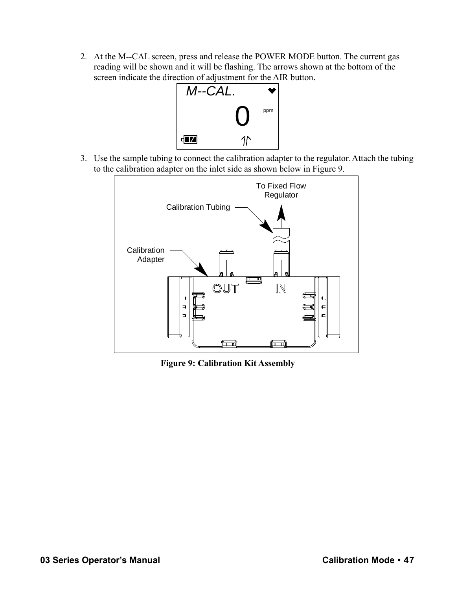2. At the M--CAL screen, press and release the POWER MODE button. The current gas reading will be shown and it will be flashing. The arrows shown at the bottom of the screen indicate the direction of adjustment for the AIR button.



3. Use the sample tubing to connect the calibration adapter to the regulator. Attach the tubing to the calibration adapter on the inlet side as shown below in Figure 9.



**Figure 9: Calibration Kit Assembly**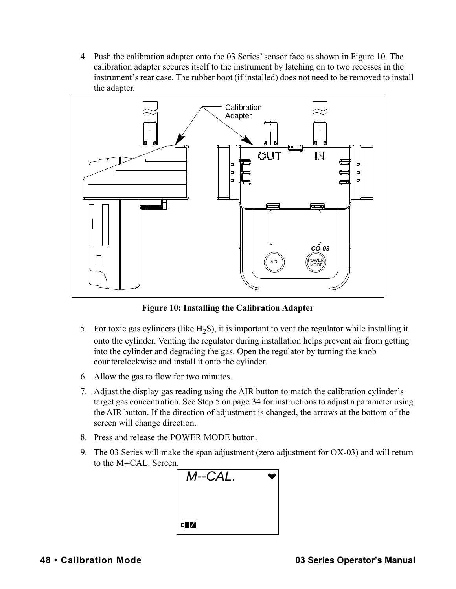4. Push the calibration adapter onto the 03 Series' sensor face as shown in Figure 10. The calibration adapter secures itself to the instrument by latching on to two recesses in the instrument's rear case. The rubber boot (if installed) does not need to be removed to install the adapter.



**Figure 10: Installing the Calibration Adapter**

- 5. For toxic gas cylinders (like  $H_2S$ ), it is important to vent the regulator while installing it onto the cylinder. Venting the regulator during installation helps prevent air from getting into the cylinder and degrading the gas. Open the regulator by turning the knob counterclockwise and install it onto the cylinder.
- 6. Allow the gas to flow for two minutes.
- 7. Adjust the display gas reading using the AIR button to match the calibration cylinder's target gas concentration. See Step 5 on page 34 for instructions to adjust a parameter using the AIR button. If the direction of adjustment is changed, the arrows at the bottom of the screen will change direction.
- 8. Press and release the POWER MODE button.
- 9. The 03 Series will make the span adjustment (zero adjustment for OX-03) and will return to the M--CAL. Screen.

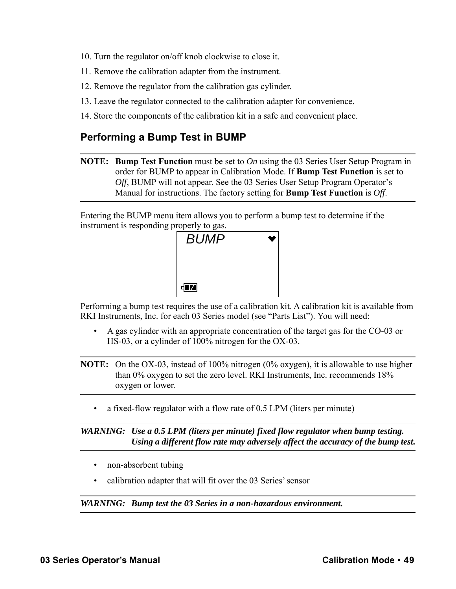- 10. Turn the regulator on/off knob clockwise to close it.
- 11. Remove the calibration adapter from the instrument.
- 12. Remove the regulator from the calibration gas cylinder.
- 13. Leave the regulator connected to the calibration adapter for convenience.
- 14. Store the components of the calibration kit in a safe and convenient place.

### **Performing a Bump Test in BUMP**

**NOTE: Bump Test Function** must be set to *On* using the 03 Series User Setup Program in order for BUMP to appear in Calibration Mode. If **Bump Test Function** is set to *Off*, BUMP will not appear. See the 03 Series User Setup Program Operator's Manual for instructions. The factory setting for **Bump Test Function** is *Off*.

Entering the BUMP menu item allows you to perform a bump test to determine if the instrument is responding properly to gas.



Performing a bump test requires the use of a calibration kit. A calibration kit is available from RKI Instruments, Inc. for each 03 Series model (see "Parts List"). You will need:

• A gas cylinder with an appropriate concentration of the target gas for the CO-03 or HS-03, or a cylinder of 100% nitrogen for the OX-03.

**NOTE:** On the OX-03, instead of 100% nitrogen (0% oxygen), it is allowable to use higher than 0% oxygen to set the zero level. RKI Instruments, Inc. recommends 18% oxygen or lower.

• a fixed-flow regulator with a flow rate of 0.5 LPM (liters per minute)

*WARNING: Use a 0.5 LPM (liters per minute) fixed flow regulator when bump testing. Using a different flow rate may adversely affect the accuracy of the bump test.*

- non-absorbent tubing
- calibration adapter that will fit over the 03 Series' sensor

*WARNING: Bump test the 03 Series in a non-hazardous environment.*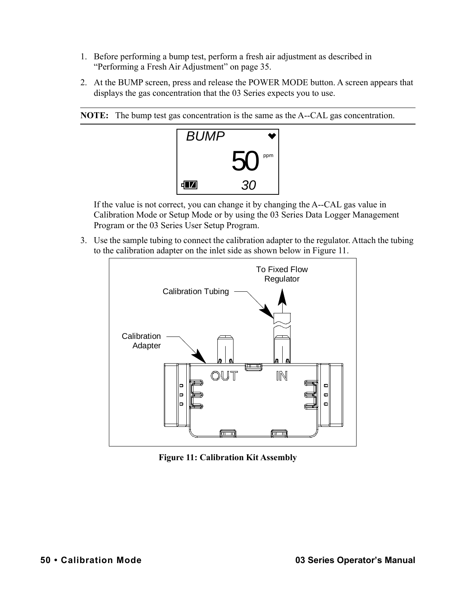- 1. Before performing a bump test, perform a fresh air adjustment as described in ["Performing a Fresh Air Adjustment" on page 35.](#page-34-0)
- 2. At the BUMP screen, press and release the POWER MODE button. A screen appears that displays the gas concentration that the 03 Series expects you to use.





If the value is not correct, you can change it by changing the A--CAL gas value in Calibration Mode or Setup Mode or by using the 03 Series Data Logger Management Program or the 03 Series User Setup Program.

3. Use the sample tubing to connect the calibration adapter to the regulator. Attach the tubing to the calibration adapter on the inlet side as shown below in Figure 11.



**Figure 11: Calibration Kit Assembly**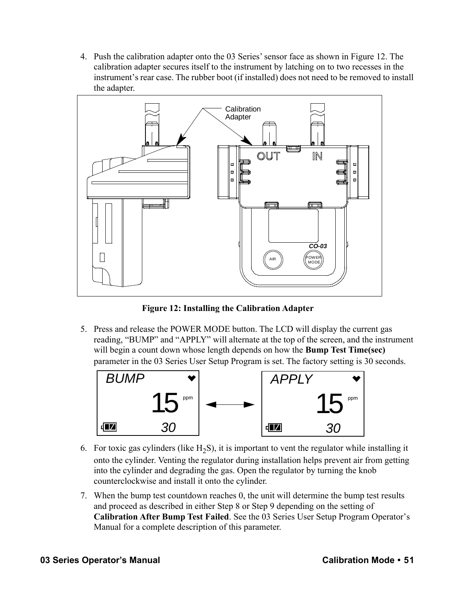4. Push the calibration adapter onto the 03 Series' sensor face as shown in Figure 12. The calibration adapter secures itself to the instrument by latching on to two recesses in the instrument's rear case. The rubber boot (if installed) does not need to be removed to install the adapter.



**Figure 12: Installing the Calibration Adapter**

5. Press and release the POWER MODE button. The LCD will display the current gas reading, "BUMP" and "APPLY" will alternate at the top of the screen, and the instrument will begin a count down whose length depends on how the **Bump Test Time(sec)**  parameter in the 03 Series User Setup Program is set. The factory setting is 30 seconds.



- 6. For toxic gas cylinders (like  $H_2S$ ), it is important to vent the regulator while installing it onto the cylinder. Venting the regulator during installation helps prevent air from getting into the cylinder and degrading the gas. Open the regulator by turning the knob counterclockwise and install it onto the cylinder.
- 7. When the bump test countdown reaches 0, the unit will determine the bump test results and proceed as described in either Step 8 or Step 9 depending on the setting of **Calibration After Bump Test Failed**. See the 03 Series User Setup Program Operator's Manual for a complete description of this parameter.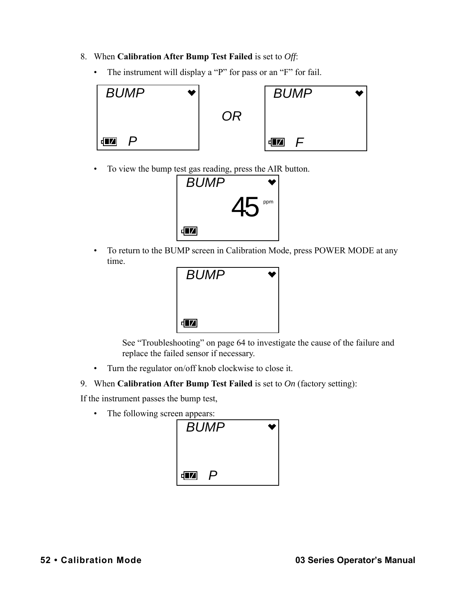- 8. When **Calibration After Bump Test Failed** is set to *Off*:
	- The instrument will display a "P" for pass or an "F" for fail.



• To view the bump test gas reading, press the AIR button.



• To return to the BUMP screen in Calibration Mode, press POWER MODE at any time.



See ["Troubleshooting" on page 64](#page-63-0) to investigate the cause of the failure and replace the failed sensor if necessary.

• Turn the regulator on/off knob clockwise to close it.

#### 9. When **Calibration After Bump Test Failed** is set to *On* (factory setting):

If the instrument passes the bump test,

• The following screen appears:

| <b>BUMP</b>        |  |
|--------------------|--|
| $\mathbf{E}$<br>ر، |  |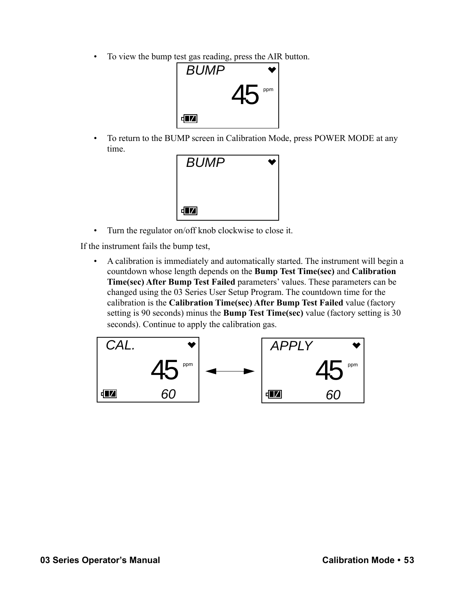• To view the bump test gas reading, press the AIR button.



• To return to the BUMP screen in Calibration Mode, press POWER MODE at any time.



• Turn the regulator on/off knob clockwise to close it.

If the instrument fails the bump test,

• A calibration is immediately and automatically started. The instrument will begin a countdown whose length depends on the **Bump Test Time(sec)** and **Calibration Time(sec) After Bump Test Failed** parameters' values. These parameters can be changed using the 03 Series User Setup Program. The countdown time for the calibration is the **Calibration Time(sec) After Bump Test Failed** value (factory setting is 90 seconds) minus the **Bump Test Time(sec)** value (factory setting is 30 seconds). Continue to apply the calibration gas.

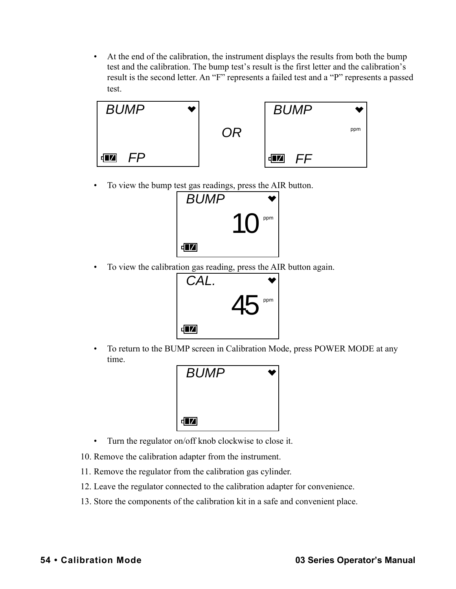• At the end of the calibration, the instrument displays the results from both the bump test and the calibration. The bump test's result is the first letter and the calibration's result is the second letter. An "F" represents a failed test and a "P" represents a passed test.



• To view the bump test gas readings, press the AIR button.



• To view the calibration gas reading, press the AIR button again.



• To return to the BUMP screen in Calibration Mode, press POWER MODE at any time.



- Turn the regulator on/off knob clockwise to close it.
- 10. Remove the calibration adapter from the instrument.
- 11. Remove the regulator from the calibration gas cylinder.
- 12. Leave the regulator connected to the calibration adapter for convenience.
- 13. Store the components of the calibration kit in a safe and convenient place.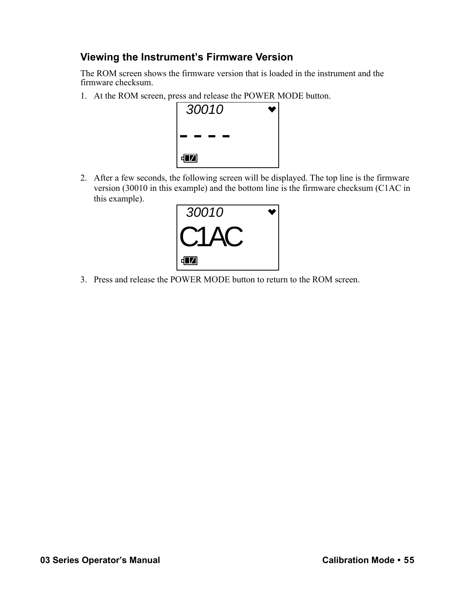# **Viewing the Instrument's Firmware Version**

The ROM screen shows the firmware version that is loaded in the instrument and the firmware checksum.

1. At the ROM screen, press and release the POWER MODE button.



2. After a few seconds, the following screen will be displayed. The top line is the firmware version (30010 in this example) and the bottom line is the firmware checksum (C1AC in this example).



3. Press and release the POWER MODE button to return to the ROM screen.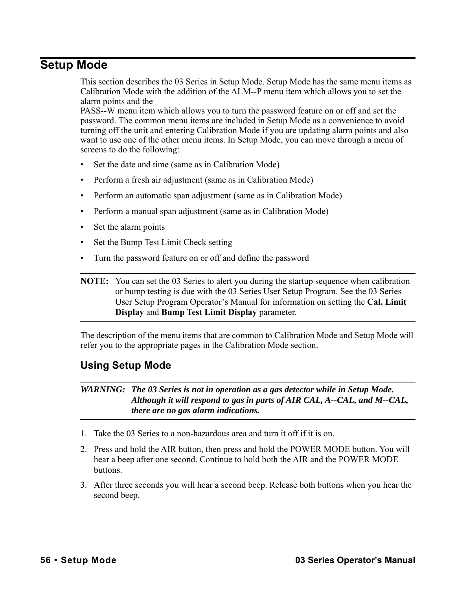# **Setup Mode**

This section describes the 03 Series in Setup Mode. Setup Mode has the same menu items as Calibration Mode with the addition of the ALM--P menu item which allows you to set the alarm points and the

PASS--W menu item which allows you to turn the password feature on or off and set the password. The common menu items are included in Setup Mode as a convenience to avoid turning off the unit and entering Calibration Mode if you are updating alarm points and also want to use one of the other menu items. In Setup Mode, you can move through a menu of screens to do the following:

- Set the date and time (same as in Calibration Mode)
- Perform a fresh air adjustment (same as in Calibration Mode)
- Perform an automatic span adjustment (same as in Calibration Mode)
- Perform a manual span adjustment (same as in Calibration Mode)
- Set the alarm points
- Set the Bump Test Limit Check setting
- Turn the password feature on or off and define the password

**NOTE:** You can set the 03 Series to alert you during the startup sequence when calibration or bump testing is due with the 03 Series User Setup Program. See the 03 Series User Setup Program Operator's Manual for information on setting the **Cal. Limit Display** and **Bump Test Limit Display** parameter.

The description of the menu items that are common to Calibration Mode and Setup Mode will refer you to the appropriate pages in the Calibration Mode section.

# **Using Setup Mode**

#### *WARNING: The 03 Series is not in operation as a gas detector while in Setup Mode. Although it will respond to gas in parts of AIR CAL, A--CAL, and M--CAL, there are no gas alarm indications.*

- 1. Take the 03 Series to a non-hazardous area and turn it off if it is on.
- 2. Press and hold the AIR button, then press and hold the POWER MODE button. You will hear a beep after one second. Continue to hold both the AIR and the POWER MODE buttons.
- 3. After three seconds you will hear a second beep. Release both buttons when you hear the second beep.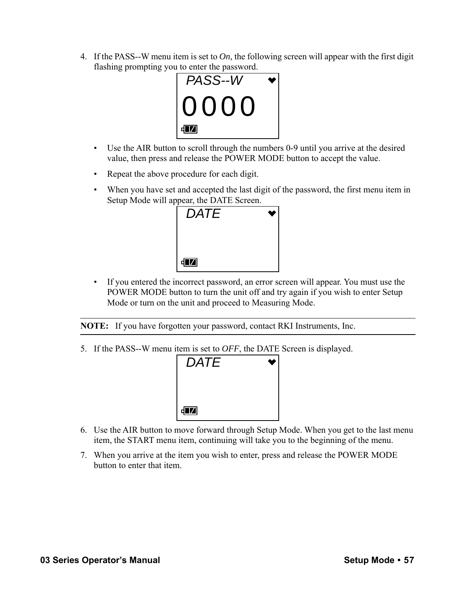4. If the PASS--W menu item is set to *On*, the following screen will appear with the first digit flashing prompting you to enter the password.

| PASS--W   |  |
|-----------|--|
| 10000     |  |
| <b>TZ</b> |  |

- Use the AIR button to scroll through the numbers 0-9 until you arrive at the desired value, then press and release the POWER MODE button to accept the value.
- Repeat the above procedure for each digit.
- When you have set and accepted the last digit of the password, the first menu item in Setup Mode will appear, the DATE Screen.



• If you entered the incorrect password, an error screen will appear. You must use the POWER MODE button to turn the unit off and try again if you wish to enter Setup Mode or turn on the unit and proceed to Measuring Mode.

**NOTE:** If you have forgotten your password, contact RKI Instruments, Inc.

5. If the PASS--W menu item is set to *OFF*, the DATE Screen is displayed.



- 6. Use the AIR button to move forward through Setup Mode. When you get to the last menu item, the START menu item, continuing will take you to the beginning of the menu.
- 7. When you arrive at the item you wish to enter, press and release the POWER MODE button to enter that item.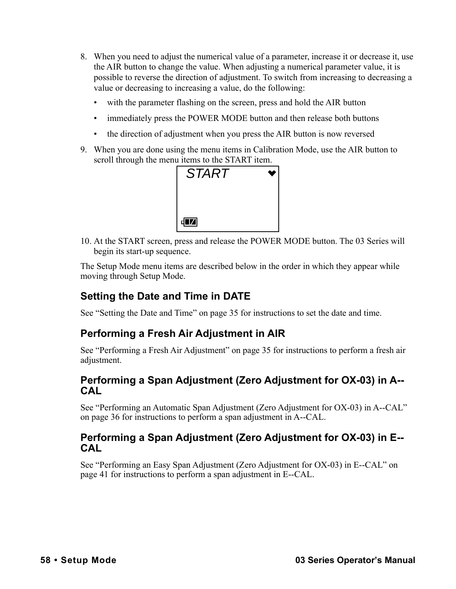- 8. When you need to adjust the numerical value of a parameter, increase it or decrease it, use the AIR button to change the value. When adjusting a numerical parameter value, it is possible to reverse the direction of adjustment. To switch from increasing to decreasing a value or decreasing to increasing a value, do the following:
	- with the parameter flashing on the screen, press and hold the AIR button
	- immediately press the POWER MODE button and then release both buttons
	- the direction of adjustment when you press the AIR button is now reversed
- 9. When you are done using the menu items in Calibration Mode, use the AIR button to scroll through the menu items to the START item.



10. At the START screen, press and release the POWER MODE button. The 03 Series will begin its start-up sequence.

The Setup Mode menu items are described below in the order in which they appear while moving through Setup Mode.

# **Setting the Date and Time in DATE**

See ["Setting the Date and Time" on page 35](#page-34-1) for instructions to set the date and time.

### **Performing a Fresh Air Adjustment in AIR**

See ["Performing a Fresh Air Adjustment" on page 35](#page-34-0) for instructions to perform a fresh air adjustment.

#### **Performing a Span Adjustment (Zero Adjustment for OX-03) in A-- CAL**

See ["Performing an Automatic Span Adjustment \(Zero Adjustment for OX-03\) in A--CAL"](#page-35-0)  [on page 36](#page-35-0) for instructions to perform a span adjustment in A--CAL.

#### **Performing a Span Adjustment (Zero Adjustment for OX-03) in E-- CAL**

See ["Performing an Easy Span Adjustment \(Zero Adjustment for OX-03\) in E--CAL" on](#page-40-0)  [page 41](#page-40-0) for instructions to perform a span adjustment in E--CAL.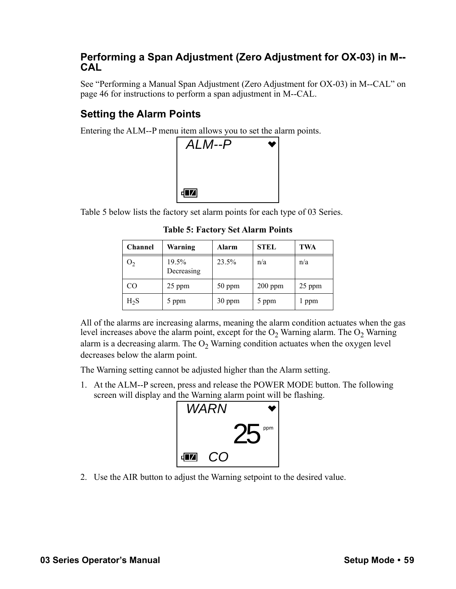# **Performing a Span Adjustment (Zero Adjustment for OX-03) in M-- CAL**

See ["Performing a Manual Span Adjustment \(Zero Adjustment for OX-03\) in M--CAL" on](#page-45-0)  [page 46](#page-45-0) for instructions to perform a span adjustment in M--CAL.

# **Setting the Alarm Points**

Entering the ALM--P menu item allows you to set the alarm points.



Table 5 below lists the factory set alarm points for each type of 03 Series.

**Table 5: Factory Set Alarm Points**

| <b>Channel</b> | Warning             | <b>Alarm</b> | <b>STEL</b> | TWA    |
|----------------|---------------------|--------------|-------------|--------|
| O <sub>2</sub> | 19.5%<br>Decreasing | 23.5%        | n/a         | n/a    |
| CO             | 25 ppm              | 50 ppm       | $200$ ppm   | 25 ppm |
| $H_2S$         | 5 ppm               | $30$ ppm     | 5 ppm       | l ppm  |

All of the alarms are increasing alarms, meaning the alarm condition actuates when the gas level increases above the alarm point, except for the  $O_2$  Warning alarm. The  $O_2$  Warning alarm is a decreasing alarm. The  $O<sub>2</sub>$  Warning condition actuates when the oxygen level decreases below the alarm point.

The Warning setting cannot be adjusted higher than the Alarm setting.

1. At the ALM--P screen, press and release the POWER MODE button. The following screen will display and the Warning alarm point will be flashing.



2. Use the AIR button to adjust the Warning setpoint to the desired value.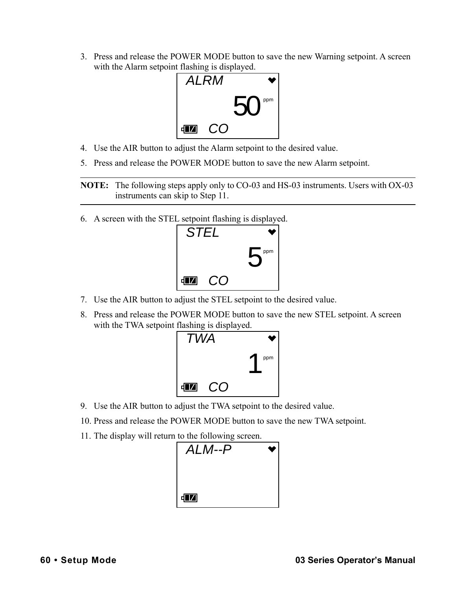3. Press and release the POWER MODE button to save the new Warning setpoint. A screen with the Alarm setpoint flashing is displayed.



- 4. Use the AIR button to adjust the Alarm setpoint to the desired value.
- 5. Press and release the POWER MODE button to save the new Alarm setpoint.

**NOTE:** The following steps apply only to CO-03 and HS-03 instruments. Users with OX-03 instruments can skip to [Step 11.](#page-59-0)

6. A screen with the STEL setpoint flashing is displayed.



- 7. Use the AIR button to adjust the STEL setpoint to the desired value.
- 8. Press and release the POWER MODE button to save the new STEL setpoint. A screen with the TWA setpoint flashing is displayed.



- 9. Use the AIR button to adjust the TWA setpoint to the desired value.
- 10. Press and release the POWER MODE button to save the new TWA setpoint.
- <span id="page-59-0"></span>11. The display will return to the following screen.

| $ALM-P$ |  |
|---------|--|
| dД      |  |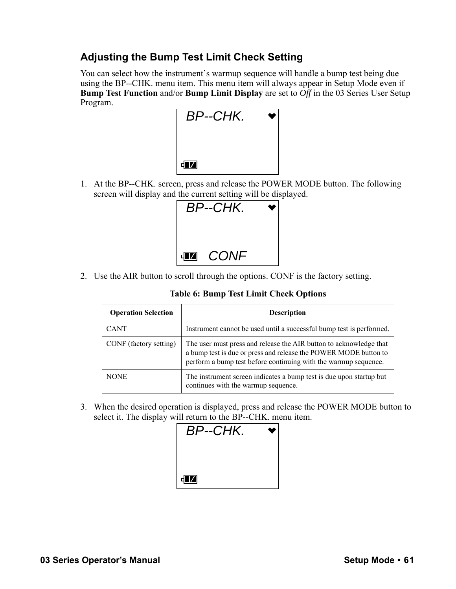# **Adjusting the Bump Test Limit Check Setting**

You can select how the instrument's warmup sequence will handle a bump test being due using the BP--CHK. menu item. This menu item will always appear in Setup Mode even if **Bump Test Function** and/or **Bump Limit Display** are set to *Off* in the 03 Series User Setup Program.



1. At the BP--CHK. screen, press and release the POWER MODE button. The following screen will display and the current setting will be displayed.



2. Use the AIR button to scroll through the options. CONF is the factory setting.

**Table 6: Bump Test Limit Check Options**

| <b>Operation Selection</b> | <b>Description</b>                                                                                                                                                                                        |
|----------------------------|-----------------------------------------------------------------------------------------------------------------------------------------------------------------------------------------------------------|
| <b>CANT</b>                | Instrument cannot be used until a successful bump test is performed.                                                                                                                                      |
| CONF (factory setting)     | The user must press and release the AIR button to acknowledge that<br>a bump test is due or press and release the POWER MODE button to<br>perform a bump test before continuing with the warmup sequence. |
| <b>NONE</b>                | The instrument screen indicates a bump test is due upon startup but<br>continues with the warmup sequence.                                                                                                |

3. When the desired operation is displayed, press and release the POWER MODE button to select it. The display will return to the BP--CHK. menu item.

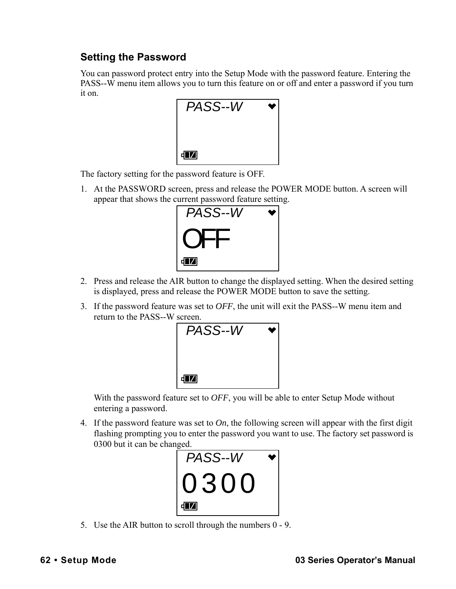# **Setting the Password**

You can password protect entry into the Setup Mode with the password feature. Entering the PASS--W menu item allows you to turn this feature on or off and enter a password if you turn it on.



The factory setting for the password feature is OFF.

1. At the PASSWORD screen, press and release the POWER MODE button. A screen will appear that shows the current password feature setting.



- 2. Press and release the AIR button to change the displayed setting. When the desired setting is displayed, press and release the POWER MODE button to save the setting.
- 3. If the password feature was set to *OFF*, the unit will exit the PASS--W menu item and return to the PASS--W screen.



With the password feature set to *OFF*, you will be able to enter Setup Mode without entering a password.

4. If the password feature was set to *On*, the following screen will appear with the first digit flashing prompting you to enter the password you want to use. The factory set password is 0300 but it can be changed.



5. Use the AIR button to scroll through the numbers 0 - 9.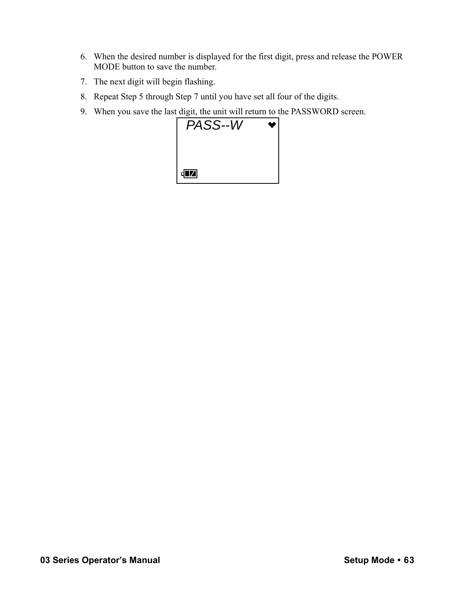- 6. When the desired number is displayed for the first digit, press and release the POWER MODE button to save the number.
- 7. The next digit will begin flashing.
- 8. Repeat Step 5 through Step 7 until you have set all four of the digits.
- 9. When you save the last digit, the unit will return to the PASSWORD screen.

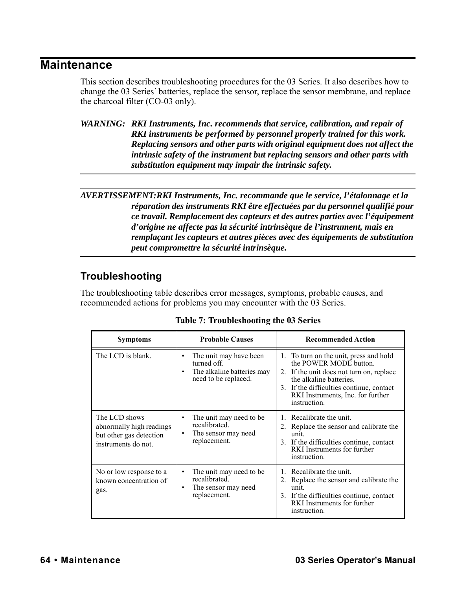# **Maintenance**

This section describes troubleshooting procedures for the 03 Series. It also describes how to change the 03 Series' batteries, replace the sensor, replace the sensor membrane, and replace the charcoal filter (CO-03 only).

*WARNING: RKI Instruments, Inc. recommends that service, calibration, and repair of RKI instruments be performed by personnel properly trained for this work. Replacing sensors and other parts with original equipment does not affect the intrinsic safety of the instrument but replacing sensors and other parts with substitution equipment may impair the intrinsic safety.*

*AVERTISSEMENT:RKI Instruments, Inc. recommande que le service, l'étalonnage et la réparation des instruments RKI être effectuées par du personnel qualifié pour ce travail. Remplacement des capteurs et des autres parties avec l'équipement d'origine ne affecte pas la sécurité intrinsèque de l'instrument, mais en remplaçant les capteurs et autres pièces avec des équipements de substitution peut compromettre la sécurité intrinsèque.*

# <span id="page-63-0"></span>**Troubleshooting**

The troubleshooting table describes error messages, symptoms, probable causes, and recommended actions for problems you may encounter with the 03 Series.

| <b>Symptoms</b>                                                                             | <b>Probable Causes</b>                                                                           | <b>Recommended Action</b>                                                                                                                                                                                                                |
|---------------------------------------------------------------------------------------------|--------------------------------------------------------------------------------------------------|------------------------------------------------------------------------------------------------------------------------------------------------------------------------------------------------------------------------------------------|
| The LCD is blank.                                                                           | The unit may have been<br>turned off.<br>The alkaline batteries may<br>٠<br>need to be replaced. | 1. To turn on the unit, press and hold<br>the POWER MODE button.<br>2. If the unit does not turn on, replace<br>the alkaline batteries.<br>3. If the difficulties continue, contact<br>RKI Instruments, Inc. for further<br>instruction. |
| The LCD shows<br>abnormally high readings<br>but other gas detection<br>instruments do not. | The unit may need to be.<br>٠<br>recalibrated.<br>The sensor may need<br>٠<br>replacement.       | 1. Recalibrate the unit.<br>2. Replace the sensor and calibrate the<br>unit.<br>3. If the difficulties continue, contact<br>RKI Instruments for further<br>instruction.                                                                  |
| No or low response to a<br>known concentration of<br>gas.                                   | The unit may need to be.<br>٠<br>recalibrated.<br>The sensor may need<br>٠<br>replacement.       | 1. Recalibrate the unit.<br>2. Replace the sensor and calibrate the<br>unit.<br>3. If the difficulties continue, contact<br>RKI Instruments for further<br>instruction.                                                                  |

**Table 7: Troubleshooting the 03 Series**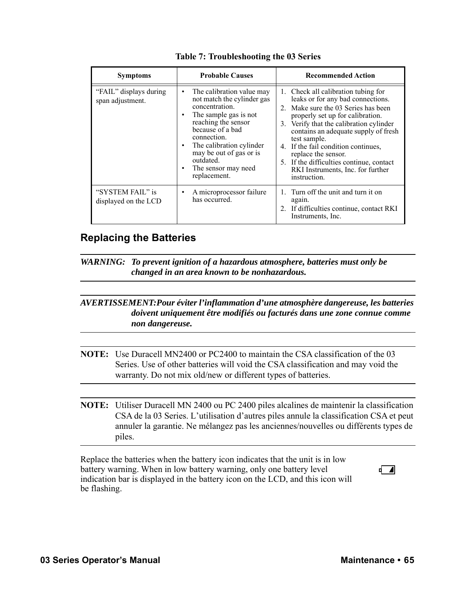| <b>Symptoms</b>                            | <b>Probable Causes</b>                                                                                                                                                                                                                                                                      | <b>Recommended Action</b>                                                                                                                                                                                                                                                                                                                                                                                                   |
|--------------------------------------------|---------------------------------------------------------------------------------------------------------------------------------------------------------------------------------------------------------------------------------------------------------------------------------------------|-----------------------------------------------------------------------------------------------------------------------------------------------------------------------------------------------------------------------------------------------------------------------------------------------------------------------------------------------------------------------------------------------------------------------------|
| "FAIL" displays during<br>span adjustment. | The calibration value may<br>٠<br>not match the cylinder gas<br>concentration.<br>The sample gas is not<br>٠<br>reaching the sensor<br>because of a bad<br>connection.<br>The calibration cylinder<br>٠<br>may be out of gas or is<br>outdated.<br>The sensor may need<br>٠<br>replacement. | 1. Check all calibration tubing for<br>leaks or for any bad connections.<br>2. Make sure the 03 Series has been<br>properly set up for calibration.<br>Verify that the calibration cylinder<br>3.<br>contains an adequate supply of fresh<br>test sample.<br>If the fail condition continues,<br>4.<br>replace the sensor.<br>5. If the difficulties continue, contact<br>RKI Instruments, Inc. for further<br>instruction. |
| "SYSTEM FAIL" is<br>displayed on the LCD   | A microprocessor failure<br>٠<br>has occurred.                                                                                                                                                                                                                                              | Turn off the unit and turn it on<br>again.<br>2. If difficulties continue, contact RKI<br>Instruments, Inc.                                                                                                                                                                                                                                                                                                                 |

### **Replacing the Batteries**

*WARNING: To prevent ignition of a hazardous atmosphere, batteries must only be changed in an area known to be nonhazardous.*

#### *AVERTISSEMENT:Pour éviter l'inflammation d'une atmosphère dangereuse, les batteries doivent uniquement être modifiés ou facturés dans une zone connue comme non dangereuse.*

**NOTE:** Use Duracell MN2400 or PC2400 to maintain the CSA classification of the 03 Series. Use of other batteries will void the CSA classification and may void the warranty. Do not mix old/new or different types of batteries.

**NOTE:** Utiliser Duracell MN 2400 ou PC 2400 piles alcalines de maintenir la classification CSA de la 03 Series. L'utilisation d'autres piles annule la classification CSA et peut annuler la garantie. Ne mélangez pas les anciennes/nouvelles ou différents types de piles.

Replace the batteries when the battery icon indicates that the unit is in low battery warning. When in low battery warning, only one battery level indication bar is displayed in the battery icon on the LCD, and this icon will be flashing.

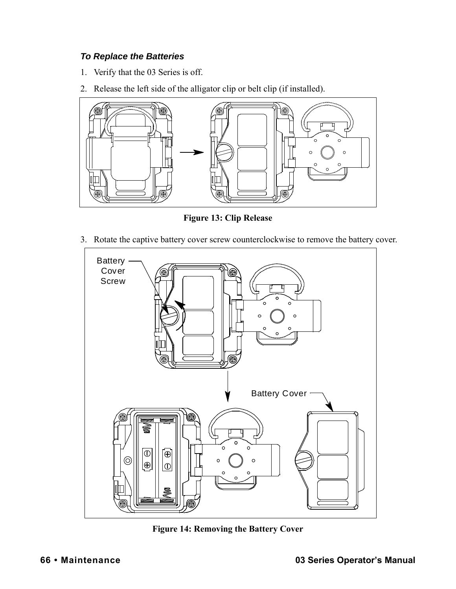#### *To Replace the Batteries*

- 1. Verify that the 03 Series is off.
- 2. Release the left side of the alligator clip or belt clip (if installed).



**Figure 13: Clip Release**

3. Rotate the captive battery cover screw counterclockwise to remove the battery cover.



**Figure 14: Removing the Battery Cover**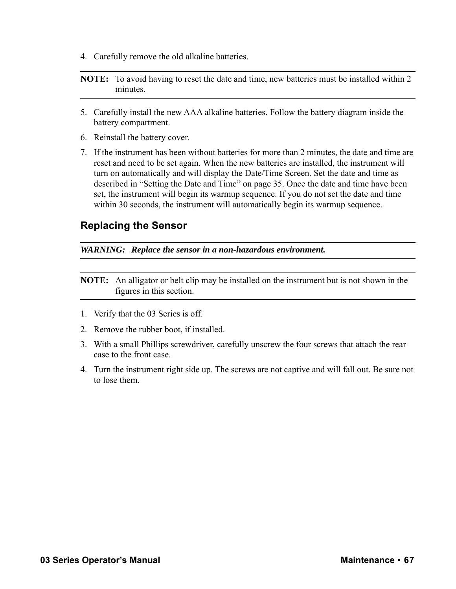4. Carefully remove the old alkaline batteries.

#### **NOTE:** To avoid having to reset the date and time, new batteries must be installed within 2 minutes.

- 5. Carefully install the new AAA alkaline batteries. Follow the battery diagram inside the battery compartment.
- 6. Reinstall the battery cover.
- 7. If the instrument has been without batteries for more than 2 minutes, the date and time are reset and need to be set again. When the new batteries are installed, the instrument will turn on automatically and will display the Date/Time Screen. Set the date and time as described in ["Setting the Date and Time" on page 35.](#page-34-1) Once the date and time have been set, the instrument will begin its warmup sequence. If you do not set the date and time within 30 seconds, the instrument will automatically begin its warmup sequence.

#### **Replacing the Sensor**

*WARNING: Replace the sensor in a non-hazardous environment.*

**NOTE:** An alligator or belt clip may be installed on the instrument but is not shown in the figures in this section.

- 1. Verify that the 03 Series is off.
- 2. Remove the rubber boot, if installed.
- <span id="page-66-0"></span>3. With a small Phillips screwdriver, carefully unscrew the four screws that attach the rear case to the front case.
- 4. Turn the instrument right side up. The screws are not captive and will fall out. Be sure not to lose them.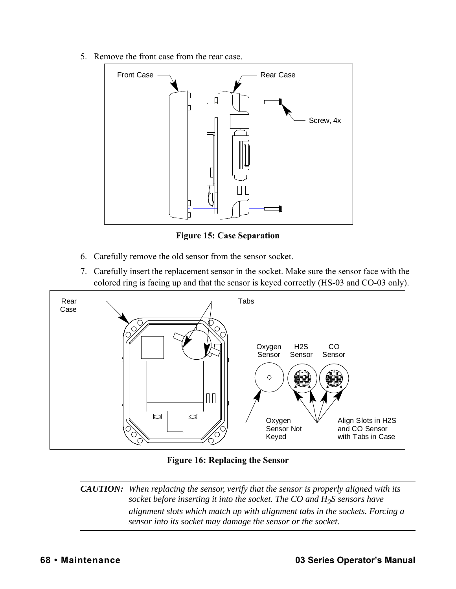5. Remove the front case from the rear case.



**Figure 15: Case Separation**

- 6. Carefully remove the old sensor from the sensor socket.
- 7. Carefully insert the replacement sensor in the socket. Make sure the sensor face with the colored ring is facing up and that the sensor is keyed correctly (HS-03 and CO-03 only).



**Figure 16: Replacing the Sensor**

*CAUTION: When replacing the sensor, verify that the sensor is properly aligned with its socket before inserting it into the socket. The CO and H<sub>2</sub>S sensors have alignment slots which match up with alignment tabs in the sockets. Forcing a sensor into its socket may damage the sensor or the socket.*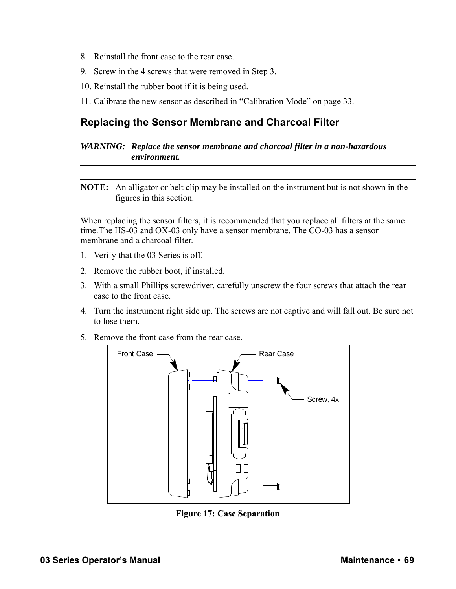- 8. Reinstall the front case to the rear case.
- 9. Screw in the 4 screws that were removed in [Step 3.](#page-66-0)
- 10. Reinstall the rubber boot if it is being used.
- 11. Calibrate the new sensor as described in ["Calibration Mode" on page 33.](#page-32-0)

# **Replacing the Sensor Membrane and Charcoal Filter**

*WARNING: Replace the sensor membrane and charcoal filter in a non-hazardous environment.*

**NOTE:** An alligator or belt clip may be installed on the instrument but is not shown in the figures in this section.

When replacing the sensor filters, it is recommended that you replace all filters at the same time.The HS-03 and OX-03 only have a sensor membrane. The CO-03 has a sensor membrane and a charcoal filter.

- 1. Verify that the 03 Series is off.
- 2. Remove the rubber boot, if installed.
- <span id="page-68-0"></span>3. With a small Phillips screwdriver, carefully unscrew the four screws that attach the rear case to the front case.
- 4. Turn the instrument right side up. The screws are not captive and will fall out. Be sure not to lose them.
- 5. Remove the front case from the rear case.



**Figure 17: Case Separation**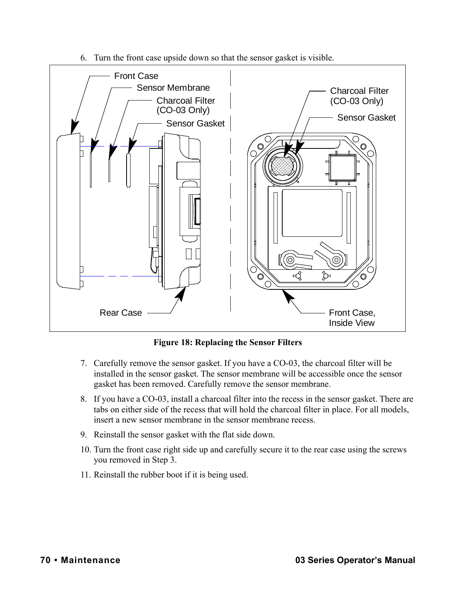6. Turn the front case upside down so that the sensor gasket is visible.



**Figure 18: Replacing the Sensor Filters**

- 7. Carefully remove the sensor gasket. If you have a CO-03, the charcoal filter will be installed in the sensor gasket. The sensor membrane will be accessible once the sensor gasket has been removed. Carefully remove the sensor membrane.
- 8. If you have a CO-03, install a charcoal filter into the recess in the sensor gasket. There are tabs on either side of the recess that will hold the charcoal filter in place. For all models, insert a new sensor membrane in the sensor membrane recess.
- 9. Reinstall the sensor gasket with the flat side down.
- 10. Turn the front case right side up and carefully secure it to the rear case using the screws you removed in [Step 3.](#page-68-0)
- 11. Reinstall the rubber boot if it is being used.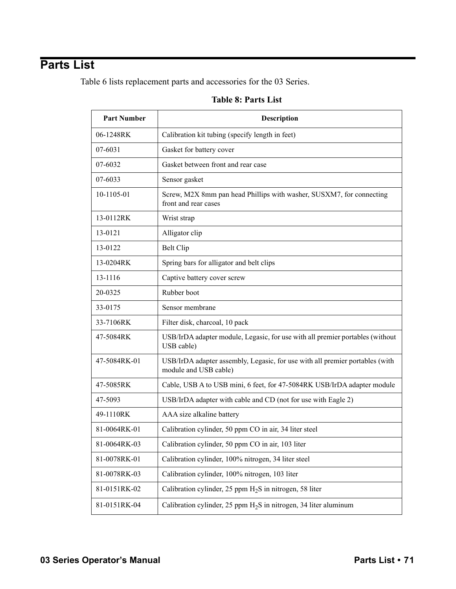# <span id="page-70-0"></span>**Parts List**

Table 6 lists replacement parts and accessories for the 03 Series.

#### **Table 8: Parts List**

| <b>Part Number</b> | <b>Description</b>                                                                                    |
|--------------------|-------------------------------------------------------------------------------------------------------|
| 06-1248RK          | Calibration kit tubing (specify length in feet)                                                       |
| 07-6031            | Gasket for battery cover                                                                              |
| 07-6032            | Gasket between front and rear case                                                                    |
| 07-6033            | Sensor gasket                                                                                         |
| 10-1105-01         | Screw, M2X 8mm pan head Phillips with washer, SUSXM7, for connecting<br>front and rear cases          |
| 13-0112RK          | Wrist strap                                                                                           |
| 13-0121            | Alligator clip                                                                                        |
| 13-0122            | Belt Clip                                                                                             |
| 13-0204RK          | Spring bars for alligator and belt clips                                                              |
| 13-1116            | Captive battery cover screw                                                                           |
| 20-0325            | Rubber boot                                                                                           |
| 33-0175            | Sensor membrane                                                                                       |
| 33-7106RK          | Filter disk, charcoal, 10 pack                                                                        |
| 47-5084RK          | USB/IrDA adapter module, Legasic, for use with all premier portables (without<br>USB cable)           |
| 47-5084RK-01       | USB/IrDA adapter assembly, Legasic, for use with all premier portables (with<br>module and USB cable) |
| 47-5085RK          | Cable, USB A to USB mini, 6 feet, for 47-5084RK USB/IrDA adapter module                               |
| 47-5093            | USB/IrDA adapter with cable and CD (not for use with Eagle 2)                                         |
| 49-1110RK          | AAA size alkaline battery                                                                             |
| 81-0064RK-01       | Calibration cylinder, 50 ppm CO in air, 34 liter steel                                                |
| 81-0064RK-03       | Calibration cylinder, 50 ppm CO in air, 103 liter                                                     |
| 81-0078RK-01       | Calibration cylinder, 100% nitrogen, 34 liter steel                                                   |
| 81-0078RK-03       | Calibration cylinder, 100% nitrogen, 103 liter                                                        |
| 81-0151RK-02       | Calibration cylinder, 25 ppm $H_2S$ in nitrogen, 58 liter                                             |
| 81-0151RK-04       | Calibration cylinder, 25 ppm $H_2S$ in nitrogen, 34 liter aluminum                                    |